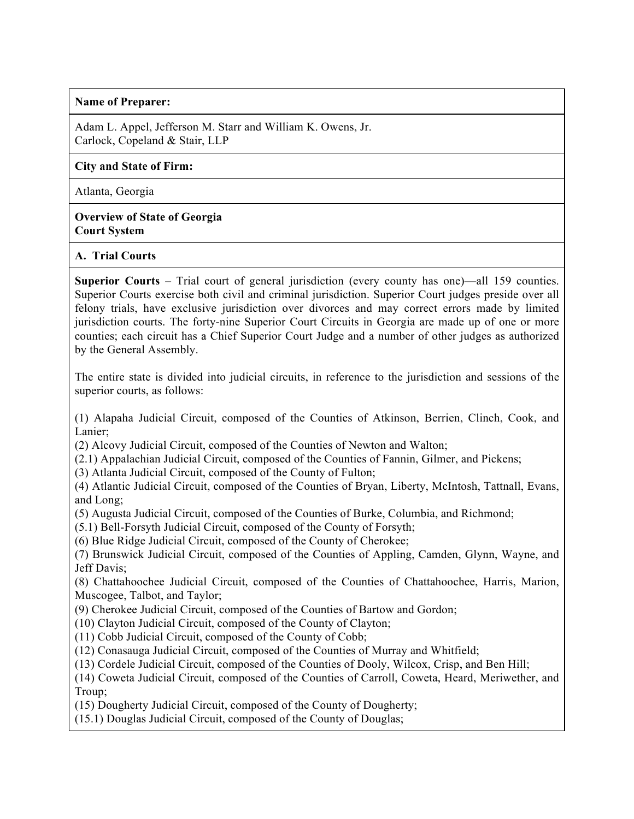#### **Name of Preparer:**

Adam L. Appel, Jefferson M. Starr and William K. Owens, Jr. Carlock, Copeland & Stair, LLP

#### **City and State of Firm:**

Atlanta, Georgia

#### **Overview of State of Georgia Court System**

### **A. Trial Courts**

**Superior Courts** – Trial court of general jurisdiction (every county has one)—all 159 counties. Superior Courts exercise both civil and criminal jurisdiction. Superior Court judges preside over all felony trials, have exclusive jurisdiction over divorces and may correct errors made by limited jurisdiction courts. The forty-nine Superior Court Circuits in Georgia are made up of one or more counties; each circuit has a Chief Superior Court Judge and a number of other judges as authorized by the General Assembly.

The entire state is divided into judicial circuits, in reference to the jurisdiction and sessions of the superior courts, as follows:

(1) Alapaha Judicial Circuit, composed of the Counties of Atkinson, Berrien, Clinch, Cook, and Lanier;

(2) Alcovy Judicial Circuit, composed of the Counties of Newton and Walton;

(2.1) Appalachian Judicial Circuit, composed of the Counties of Fannin, Gilmer, and Pickens;

(3) Atlanta Judicial Circuit, composed of the County of Fulton;

(4) Atlantic Judicial Circuit, composed of the Counties of Bryan, Liberty, McIntosh, Tattnall, Evans, and Long;

(5) Augusta Judicial Circuit, composed of the Counties of Burke, Columbia, and Richmond;

(5.1) Bell-Forsyth Judicial Circuit, composed of the County of Forsyth;

(6) Blue Ridge Judicial Circuit, composed of the County of Cherokee;

(7) Brunswick Judicial Circuit, composed of the Counties of Appling, Camden, Glynn, Wayne, and Jeff Davis;

(8) Chattahoochee Judicial Circuit, composed of the Counties of Chattahoochee, Harris, Marion, Muscogee, Talbot, and Taylor;

(9) Cherokee Judicial Circuit, composed of the Counties of Bartow and Gordon;

(10) Clayton Judicial Circuit, composed of the County of Clayton;

(11) Cobb Judicial Circuit, composed of the County of Cobb;

(12) Conasauga Judicial Circuit, composed of the Counties of Murray and Whitfield;

(13) Cordele Judicial Circuit, composed of the Counties of Dooly, Wilcox, Crisp, and Ben Hill;

(14) Coweta Judicial Circuit, composed of the Counties of Carroll, Coweta, Heard, Meriwether, and Troup;

(15) Dougherty Judicial Circuit, composed of the County of Dougherty;

(15.1) Douglas Judicial Circuit, composed of the County of Douglas;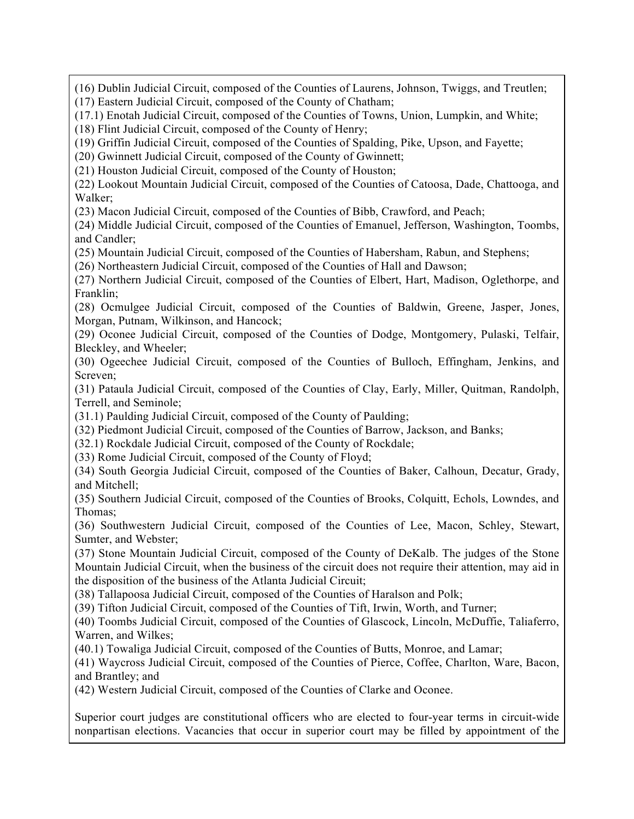(16) Dublin Judicial Circuit, composed of the Counties of Laurens, Johnson, Twiggs, and Treutlen; (17) Eastern Judicial Circuit, composed of the County of Chatham;

(17.1) Enotah Judicial Circuit, composed of the Counties of Towns, Union, Lumpkin, and White;

(18) Flint Judicial Circuit, composed of the County of Henry;

(19) Griffin Judicial Circuit, composed of the Counties of Spalding, Pike, Upson, and Fayette;

(20) Gwinnett Judicial Circuit, composed of the County of Gwinnett;

(21) Houston Judicial Circuit, composed of the County of Houston;

(22) Lookout Mountain Judicial Circuit, composed of the Counties of Catoosa, Dade, Chattooga, and Walker;

(23) Macon Judicial Circuit, composed of the Counties of Bibb, Crawford, and Peach;

(24) Middle Judicial Circuit, composed of the Counties of Emanuel, Jefferson, Washington, Toombs, and Candler;

(25) Mountain Judicial Circuit, composed of the Counties of Habersham, Rabun, and Stephens;

(26) Northeastern Judicial Circuit, composed of the Counties of Hall and Dawson;

(27) Northern Judicial Circuit, composed of the Counties of Elbert, Hart, Madison, Oglethorpe, and Franklin;

(28) Ocmulgee Judicial Circuit, composed of the Counties of Baldwin, Greene, Jasper, Jones, Morgan, Putnam, Wilkinson, and Hancock;

(29) Oconee Judicial Circuit, composed of the Counties of Dodge, Montgomery, Pulaski, Telfair, Bleckley, and Wheeler;

(30) Ogeechee Judicial Circuit, composed of the Counties of Bulloch, Effingham, Jenkins, and Screven;

(31) Pataula Judicial Circuit, composed of the Counties of Clay, Early, Miller, Quitman, Randolph, Terrell, and Seminole;

(31.1) Paulding Judicial Circuit, composed of the County of Paulding;

(32) Piedmont Judicial Circuit, composed of the Counties of Barrow, Jackson, and Banks;

(32.1) Rockdale Judicial Circuit, composed of the County of Rockdale;

(33) Rome Judicial Circuit, composed of the County of Floyd;

(34) South Georgia Judicial Circuit, composed of the Counties of Baker, Calhoun, Decatur, Grady, and Mitchell;

(35) Southern Judicial Circuit, composed of the Counties of Brooks, Colquitt, Echols, Lowndes, and Thomas;

(36) Southwestern Judicial Circuit, composed of the Counties of Lee, Macon, Schley, Stewart, Sumter, and Webster;

(37) Stone Mountain Judicial Circuit, composed of the County of DeKalb. The judges of the Stone Mountain Judicial Circuit, when the business of the circuit does not require their attention, may aid in the disposition of the business of the Atlanta Judicial Circuit;

(38) Tallapoosa Judicial Circuit, composed of the Counties of Haralson and Polk;

(39) Tifton Judicial Circuit, composed of the Counties of Tift, Irwin, Worth, and Turner;

(40) Toombs Judicial Circuit, composed of the Counties of Glascock, Lincoln, McDuffie, Taliaferro, Warren, and Wilkes;

(40.1) Towaliga Judicial Circuit, composed of the Counties of Butts, Monroe, and Lamar;

(41) Waycross Judicial Circuit, composed of the Counties of Pierce, Coffee, Charlton, Ware, Bacon, and Brantley; and

(42) Western Judicial Circuit, composed of the Counties of Clarke and Oconee.

Superior court judges are constitutional officers who are elected to four-year terms in circuit-wide nonpartisan elections. Vacancies that occur in superior court may be filled by appointment of the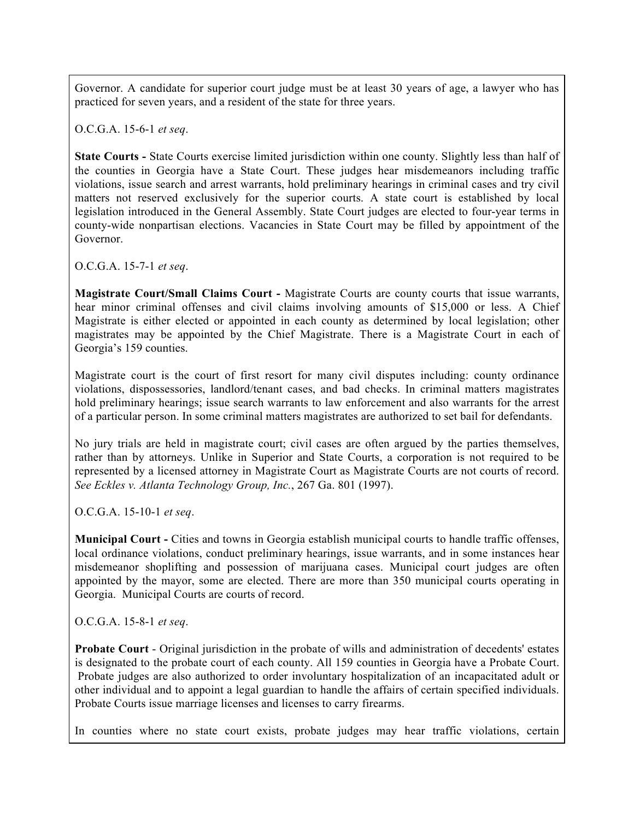Governor. A candidate for superior court judge must be at least 30 years of age, a lawyer who has practiced for seven years, and a resident of the state for three years.

O.C.G.A. 15-6-1 *et seq*.

**State Courts -** State Courts exercise limited jurisdiction within one county. Slightly less than half of the counties in Georgia have a State Court. These judges hear misdemeanors including traffic violations, issue search and arrest warrants, hold preliminary hearings in criminal cases and try civil matters not reserved exclusively for the superior courts. A state court is established by local legislation introduced in the General Assembly. State Court judges are elected to four-year terms in county-wide nonpartisan elections. Vacancies in State Court may be filled by appointment of the Governor.

O.C.G.A. 15-7-1 *et seq*.

**Magistrate Court/Small Claims Court -** Magistrate Courts are county courts that issue warrants, hear minor criminal offenses and civil claims involving amounts of \$15,000 or less. A Chief Magistrate is either elected or appointed in each county as determined by local legislation; other magistrates may be appointed by the Chief Magistrate. There is a Magistrate Court in each of Georgia's 159 counties.

Magistrate court is the court of first resort for many civil disputes including: county ordinance violations, dispossessories, landlord/tenant cases, and bad checks. In criminal matters magistrates hold preliminary hearings; issue search warrants to law enforcement and also warrants for the arrest of a particular person. In some criminal matters magistrates are authorized to set bail for defendants.

No jury trials are held in magistrate court; civil cases are often argued by the parties themselves, rather than by attorneys. Unlike in Superior and State Courts, a corporation is not required to be represented by a licensed attorney in Magistrate Court as Magistrate Courts are not courts of record. *See Eckles v. Atlanta Technology Group, Inc.*, 267 Ga. 801 (1997).

O.C.G.A. 15-10-1 *et seq*.

**Municipal Court -** Cities and towns in Georgia establish municipal courts to handle traffic offenses, local ordinance violations, conduct preliminary hearings, issue warrants, and in some instances hear misdemeanor shoplifting and possession of marijuana cases. Municipal court judges are often appointed by the mayor, some are elected. There are more than 350 municipal courts operating in Georgia. Municipal Courts are courts of record.

O.C.G.A. 15-8-1 *et seq*.

**Probate Court** - Original jurisdiction in the probate of wills and administration of decedents' estates is designated to the probate court of each county. All 159 counties in Georgia have a Probate Court. Probate judges are also authorized to order involuntary hospitalization of an incapacitated adult or other individual and to appoint a legal guardian to handle the affairs of certain specified individuals. Probate Courts issue marriage licenses and licenses to carry firearms.

In counties where no state court exists, probate judges may hear traffic violations, certain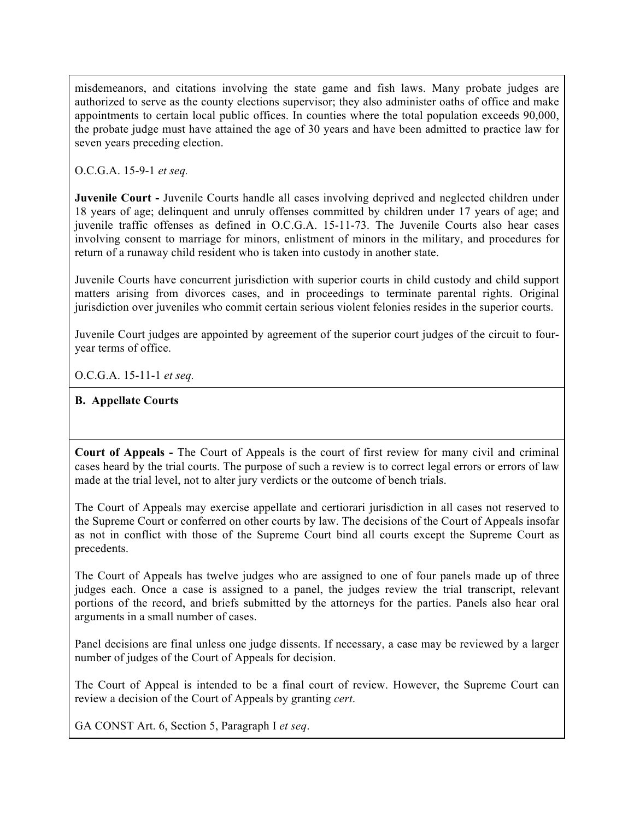misdemeanors, and citations involving the state game and fish laws. Many probate judges are authorized to serve as the county elections supervisor; they also administer oaths of office and make appointments to certain local public offices. In counties where the total population exceeds 90,000, the probate judge must have attained the age of 30 years and have been admitted to practice law for seven years preceding election.

O.C.G.A. 15-9-1 *et seq.*

**Juvenile Court -** Juvenile Courts handle all cases involving deprived and neglected children under 18 years of age; delinquent and unruly offenses committed by children under 17 years of age; and juvenile traffic offenses as defined in O.C.G.A. 15-11-73. The Juvenile Courts also hear cases involving consent to marriage for minors, enlistment of minors in the military, and procedures for return of a runaway child resident who is taken into custody in another state.

Juvenile Courts have concurrent jurisdiction with superior courts in child custody and child support matters arising from divorces cases, and in proceedings to terminate parental rights. Original jurisdiction over juveniles who commit certain serious violent felonies resides in the superior courts.

Juvenile Court judges are appointed by agreement of the superior court judges of the circuit to fouryear terms of office.

O.C.G.A. 15-11-1 *et seq.*

### **B. Appellate Courts**

**Court of Appeals -** The Court of Appeals is the court of first review for many civil and criminal cases heard by the trial courts. The purpose of such a review is to correct legal errors or errors of law made at the trial level, not to alter jury verdicts or the outcome of bench trials.

The Court of Appeals may exercise appellate and certiorari jurisdiction in all cases not reserved to the Supreme Court or conferred on other courts by law. The decisions of the Court of Appeals insofar as not in conflict with those of the Supreme Court bind all courts except the Supreme Court as precedents.

The Court of Appeals has twelve judges who are assigned to one of four panels made up of three judges each. Once a case is assigned to a panel, the judges review the trial transcript, relevant portions of the record, and briefs submitted by the attorneys for the parties. Panels also hear oral arguments in a small number of cases.

Panel decisions are final unless one judge dissents. If necessary, a case may be reviewed by a larger number of judges of the Court of Appeals for decision.

The Court of Appeal is intended to be a final court of review. However, the Supreme Court can review a decision of the Court of Appeals by granting *cert*.

GA CONST Art. 6, Section 5, Paragraph I *et seq*.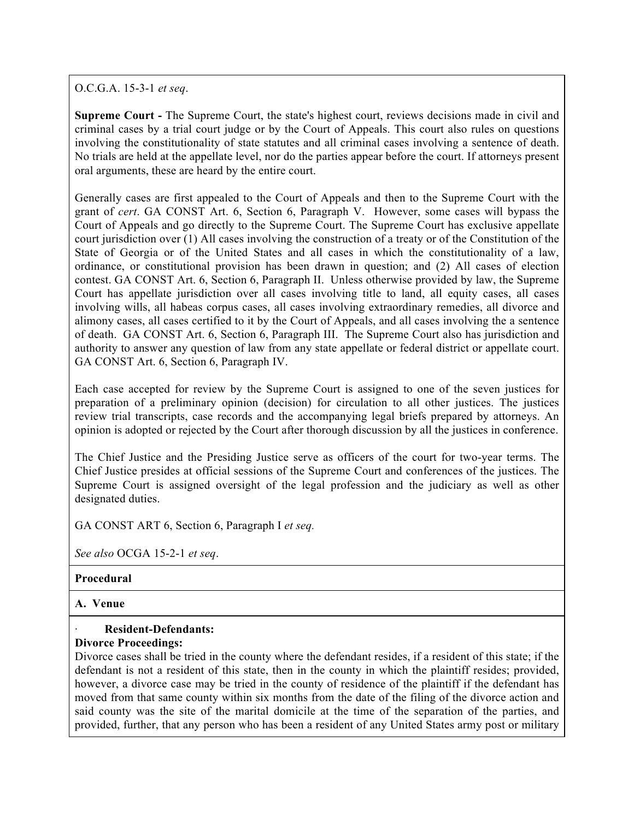O.C.G.A. 15-3-1 *et seq*.

**Supreme Court -** The Supreme Court, the state's highest court, reviews decisions made in civil and criminal cases by a trial court judge or by the Court of Appeals. This court also rules on questions involving the constitutionality of state statutes and all criminal cases involving a sentence of death. No trials are held at the appellate level, nor do the parties appear before the court. If attorneys present oral arguments, these are heard by the entire court.

Generally cases are first appealed to the Court of Appeals and then to the Supreme Court with the grant of *cert*. GA CONST Art. 6, Section 6, Paragraph V. However, some cases will bypass the Court of Appeals and go directly to the Supreme Court. The Supreme Court has exclusive appellate court jurisdiction over (1) All cases involving the construction of a treaty or of the Constitution of the State of Georgia or of the United States and all cases in which the constitutionality of a law, ordinance, or constitutional provision has been drawn in question; and (2) All cases of election contest. GA CONST Art. 6, Section 6, Paragraph II. Unless otherwise provided by law, the Supreme Court has appellate jurisdiction over all cases involving title to land, all equity cases, all cases involving wills, all habeas corpus cases, all cases involving extraordinary remedies, all divorce and alimony cases, all cases certified to it by the Court of Appeals, and all cases involving the a sentence of death. GA CONST Art. 6, Section 6, Paragraph III. The Supreme Court also has jurisdiction and authority to answer any question of law from any state appellate or federal district or appellate court. GA CONST Art. 6, Section 6, Paragraph IV.

Each case accepted for review by the Supreme Court is assigned to one of the seven justices for preparation of a preliminary opinion (decision) for circulation to all other justices. The justices review trial transcripts, case records and the accompanying legal briefs prepared by attorneys. An opinion is adopted or rejected by the Court after thorough discussion by all the justices in conference.

The Chief Justice and the Presiding Justice serve as officers of the court for two-year terms. The Chief Justice presides at official sessions of the Supreme Court and conferences of the justices. The Supreme Court is assigned oversight of the legal profession and the judiciary as well as other designated duties.

GA CONST ART 6, Section 6, Paragraph I *et seq.*

*See also* OCGA 15-2-1 *et seq*.

# **Procedural**

### **A. Venue**

# · **Resident-Defendants:**

### **Divorce Proceedings:**

Divorce cases shall be tried in the county where the defendant resides, if a resident of this state; if the defendant is not a resident of this state, then in the county in which the plaintiff resides; provided, however, a divorce case may be tried in the county of residence of the plaintiff if the defendant has moved from that same county within six months from the date of the filing of the divorce action and said county was the site of the marital domicile at the time of the separation of the parties, and provided, further, that any person who has been a resident of any United States army post or military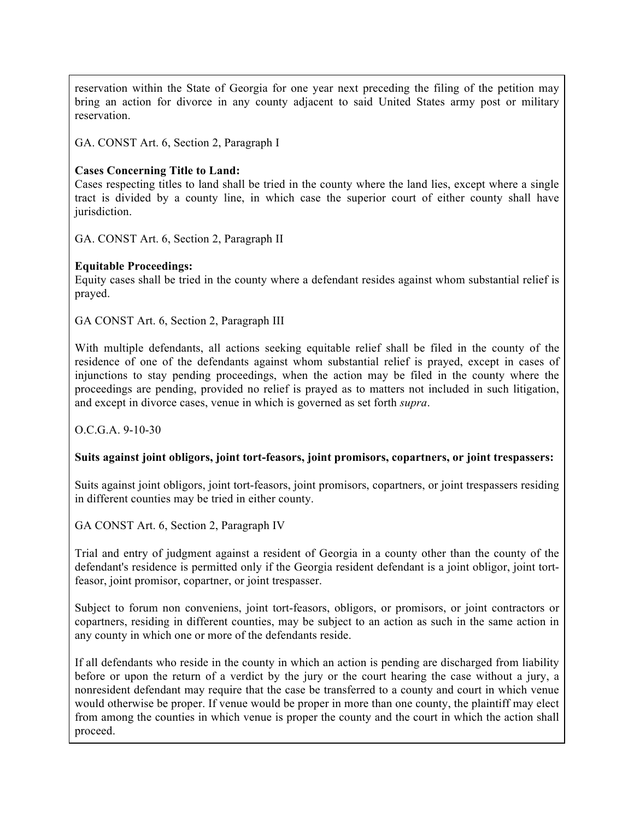reservation within the State of Georgia for one year next preceding the filing of the petition may bring an action for divorce in any county adjacent to said United States army post or military reservation.

GA. CONST Art. 6, Section 2, Paragraph I

## **Cases Concerning Title to Land:**

Cases respecting titles to land shall be tried in the county where the land lies, except where a single tract is divided by a county line, in which case the superior court of either county shall have jurisdiction.

GA. CONST Art. 6, Section 2, Paragraph II

### **Equitable Proceedings:**

Equity cases shall be tried in the county where a defendant resides against whom substantial relief is prayed.

GA CONST Art. 6, Section 2, Paragraph III

With multiple defendants, all actions seeking equitable relief shall be filed in the county of the residence of one of the defendants against whom substantial relief is prayed, except in cases of injunctions to stay pending proceedings, when the action may be filed in the county where the proceedings are pending, provided no relief is prayed as to matters not included in such litigation, and except in divorce cases, venue in which is governed as set forth *supra*.

O.C.G.A. 9-10-30

### **Suits against joint obligors, joint tort-feasors, joint promisors, copartners, or joint trespassers:**

Suits against joint obligors, joint tort-feasors, joint promisors, copartners, or joint trespassers residing in different counties may be tried in either county.

GA CONST Art. 6, Section 2, Paragraph IV

Trial and entry of judgment against a resident of Georgia in a county other than the county of the defendant's residence is permitted only if the Georgia resident defendant is a joint obligor, joint tortfeasor, joint promisor, copartner, or joint trespasser.

Subject to forum non conveniens, joint tort-feasors, obligors, or promisors, or joint contractors or copartners, residing in different counties, may be subject to an action as such in the same action in any county in which one or more of the defendants reside.

If all defendants who reside in the county in which an action is pending are discharged from liability before or upon the return of a verdict by the jury or the court hearing the case without a jury, a nonresident defendant may require that the case be transferred to a county and court in which venue would otherwise be proper. If venue would be proper in more than one county, the plaintiff may elect from among the counties in which venue is proper the county and the court in which the action shall proceed.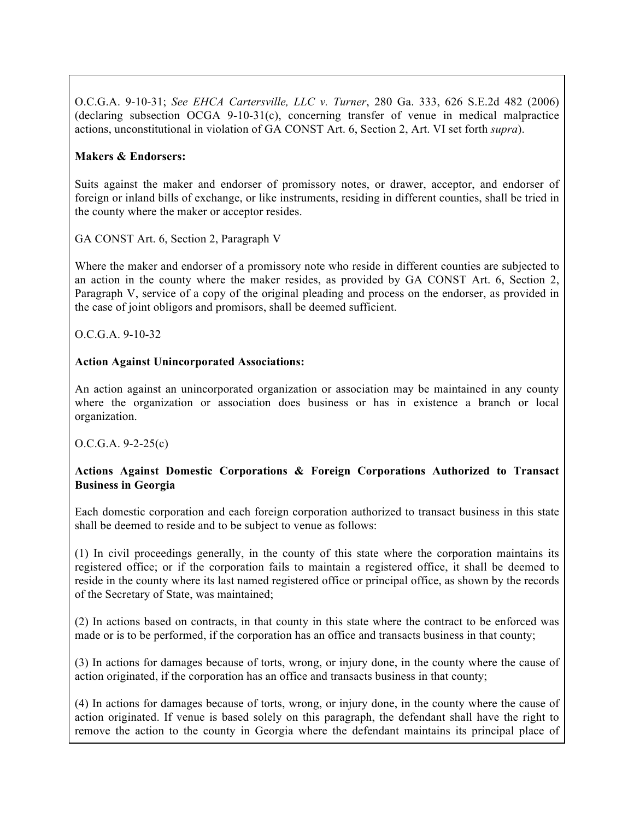O.C.G.A. 9-10-31; *See EHCA Cartersville, LLC v. Turner*, 280 Ga. 333, 626 S.E.2d 482 (2006) (declaring subsection OCGA 9-10-31(c), concerning transfer of venue in medical malpractice actions, unconstitutional in violation of GA CONST Art. 6, Section 2, Art. VI set forth *supra*).

# **Makers & Endorsers:**

Suits against the maker and endorser of promissory notes, or drawer, acceptor, and endorser of foreign or inland bills of exchange, or like instruments, residing in different counties, shall be tried in the county where the maker or acceptor resides.

GA CONST Art. 6, Section 2, Paragraph V

Where the maker and endorser of a promissory note who reside in different counties are subjected to an action in the county where the maker resides, as provided by GA CONST Art. 6, Section 2, Paragraph V, service of a copy of the original pleading and process on the endorser, as provided in the case of joint obligors and promisors, shall be deemed sufficient.

O.C.G.A. 9-10-32

# **Action Against Unincorporated Associations:**

An action against an unincorporated organization or association may be maintained in any county where the organization or association does business or has in existence a branch or local organization.

O.C.G.A. 9-2-25(c)

# **Actions Against Domestic Corporations & Foreign Corporations Authorized to Transact Business in Georgia**

Each domestic corporation and each foreign corporation authorized to transact business in this state shall be deemed to reside and to be subject to venue as follows:

(1) In civil proceedings generally, in the county of this state where the corporation maintains its registered office; or if the corporation fails to maintain a registered office, it shall be deemed to reside in the county where its last named registered office or principal office, as shown by the records of the Secretary of State, was maintained;

(2) In actions based on contracts, in that county in this state where the contract to be enforced was made or is to be performed, if the corporation has an office and transacts business in that county;

(3) In actions for damages because of torts, wrong, or injury done, in the county where the cause of action originated, if the corporation has an office and transacts business in that county;

(4) In actions for damages because of torts, wrong, or injury done, in the county where the cause of action originated. If venue is based solely on this paragraph, the defendant shall have the right to remove the action to the county in Georgia where the defendant maintains its principal place of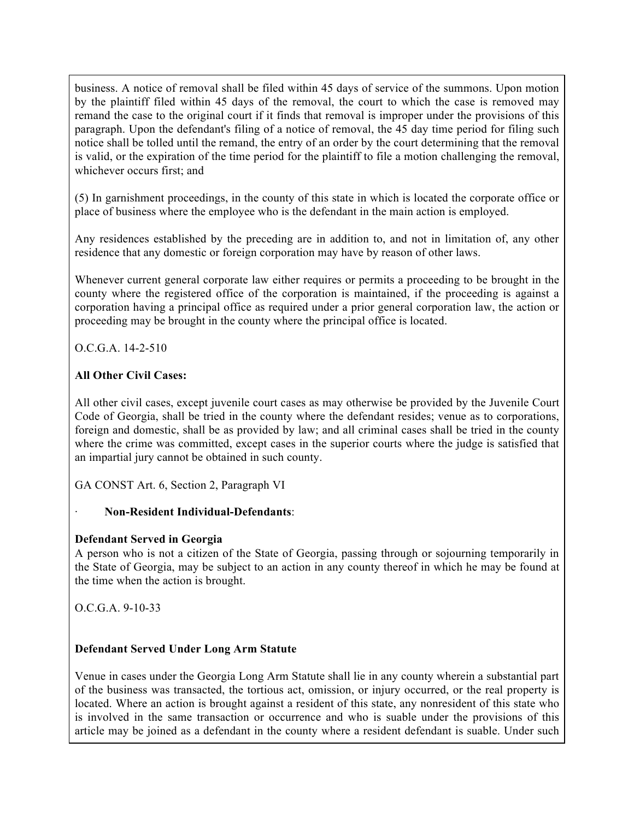business. A notice of removal shall be filed within 45 days of service of the summons. Upon motion by the plaintiff filed within 45 days of the removal, the court to which the case is removed may remand the case to the original court if it finds that removal is improper under the provisions of this paragraph. Upon the defendant's filing of a notice of removal, the 45 day time period for filing such notice shall be tolled until the remand, the entry of an order by the court determining that the removal is valid, or the expiration of the time period for the plaintiff to file a motion challenging the removal, whichever occurs first; and

(5) In garnishment proceedings, in the county of this state in which is located the corporate office or place of business where the employee who is the defendant in the main action is employed.

Any residences established by the preceding are in addition to, and not in limitation of, any other residence that any domestic or foreign corporation may have by reason of other laws.

Whenever current general corporate law either requires or permits a proceeding to be brought in the county where the registered office of the corporation is maintained, if the proceeding is against a corporation having a principal office as required under a prior general corporation law, the action or proceeding may be brought in the county where the principal office is located.

O.C.G.A. 14-2-510

# **All Other Civil Cases:**

All other civil cases, except juvenile court cases as may otherwise be provided by the Juvenile Court Code of Georgia, shall be tried in the county where the defendant resides; venue as to corporations, foreign and domestic, shall be as provided by law; and all criminal cases shall be tried in the county where the crime was committed, except cases in the superior courts where the judge is satisfied that an impartial jury cannot be obtained in such county.

GA CONST Art. 6, Section 2, Paragraph VI

# · **Non-Resident Individual-Defendants**:

### **Defendant Served in Georgia**

A person who is not a citizen of the State of Georgia, passing through or sojourning temporarily in the State of Georgia, may be subject to an action in any county thereof in which he may be found at the time when the action is brought.

O.C.G.A. 9-10-33

# **Defendant Served Under Long Arm Statute**

Venue in cases under the Georgia Long Arm Statute shall lie in any county wherein a substantial part of the business was transacted, the tortious act, omission, or injury occurred, or the real property is located. Where an action is brought against a resident of this state, any nonresident of this state who is involved in the same transaction or occurrence and who is suable under the provisions of this article may be joined as a defendant in the county where a resident defendant is suable. Under such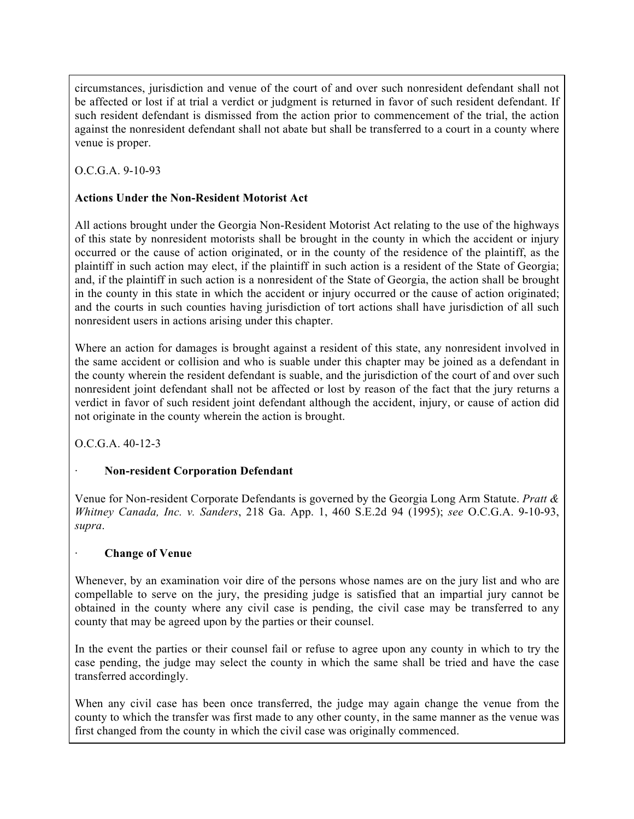circumstances, jurisdiction and venue of the court of and over such nonresident defendant shall not be affected or lost if at trial a verdict or judgment is returned in favor of such resident defendant. If such resident defendant is dismissed from the action prior to commencement of the trial, the action against the nonresident defendant shall not abate but shall be transferred to a court in a county where venue is proper.

O.C.G.A. 9-10-93

# **Actions Under the Non-Resident Motorist Act**

All actions brought under the Georgia Non-Resident Motorist Act relating to the use of the highways of this state by nonresident motorists shall be brought in the county in which the accident or injury occurred or the cause of action originated, or in the county of the residence of the plaintiff, as the plaintiff in such action may elect, if the plaintiff in such action is a resident of the State of Georgia; and, if the plaintiff in such action is a nonresident of the State of Georgia, the action shall be brought in the county in this state in which the accident or injury occurred or the cause of action originated; and the courts in such counties having jurisdiction of tort actions shall have jurisdiction of all such nonresident users in actions arising under this chapter.

Where an action for damages is brought against a resident of this state, any nonresident involved in the same accident or collision and who is suable under this chapter may be joined as a defendant in the county wherein the resident defendant is suable, and the jurisdiction of the court of and over such nonresident joint defendant shall not be affected or lost by reason of the fact that the jury returns a verdict in favor of such resident joint defendant although the accident, injury, or cause of action did not originate in the county wherein the action is brought.

O.C.G.A. 40-12-3

# · **Non-resident Corporation Defendant**

Venue for Non-resident Corporate Defendants is governed by the Georgia Long Arm Statute. *Pratt & Whitney Canada, Inc. v. Sanders*, 218 Ga. App. 1, 460 S.E.2d 94 (1995); *see* O.C.G.A. 9-10-93, *supra*.

# **Change of Venue**

Whenever, by an examination voir dire of the persons whose names are on the jury list and who are compellable to serve on the jury, the presiding judge is satisfied that an impartial jury cannot be obtained in the county where any civil case is pending, the civil case may be transferred to any county that may be agreed upon by the parties or their counsel.

In the event the parties or their counsel fail or refuse to agree upon any county in which to try the case pending, the judge may select the county in which the same shall be tried and have the case transferred accordingly.

When any civil case has been once transferred, the judge may again change the venue from the county to which the transfer was first made to any other county, in the same manner as the venue was first changed from the county in which the civil case was originally commenced.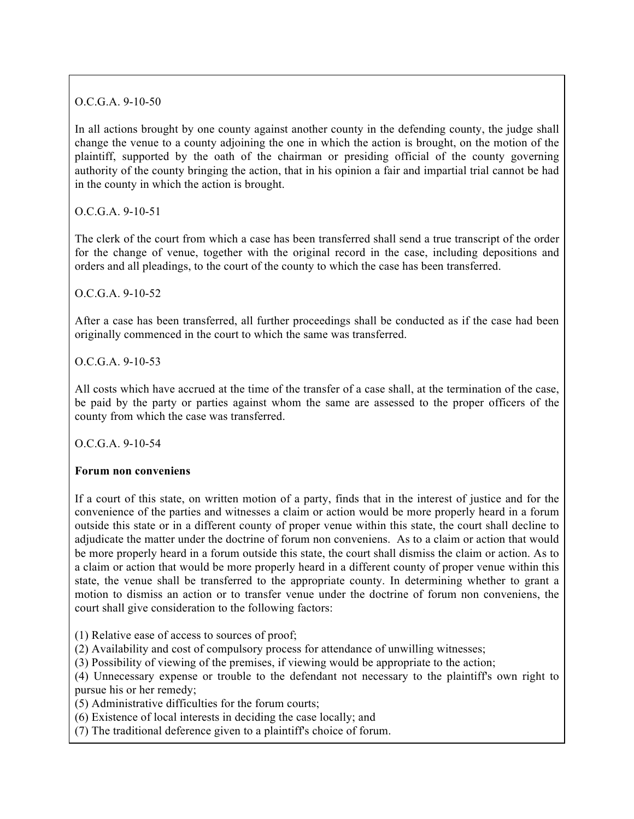# O.C.G.A. 9-10-50

In all actions brought by one county against another county in the defending county, the judge shall change the venue to a county adjoining the one in which the action is brought, on the motion of the plaintiff, supported by the oath of the chairman or presiding official of the county governing authority of the county bringing the action, that in his opinion a fair and impartial trial cannot be had in the county in which the action is brought.

O.C.G.A. 9-10-51

The clerk of the court from which a case has been transferred shall send a true transcript of the order for the change of venue, together with the original record in the case, including depositions and orders and all pleadings, to the court of the county to which the case has been transferred.

### O.C.G.A. 9-10-52

After a case has been transferred, all further proceedings shall be conducted as if the case had been originally commenced in the court to which the same was transferred.

### O.C.G.A. 9-10-53

All costs which have accrued at the time of the transfer of a case shall, at the termination of the case, be paid by the party or parties against whom the same are assessed to the proper officers of the county from which the case was transferred.

O.C.G.A. 9-10-54

### **Forum non conveniens**

If a court of this state, on written motion of a party, finds that in the interest of justice and for the convenience of the parties and witnesses a claim or action would be more properly heard in a forum outside this state or in a different county of proper venue within this state, the court shall decline to adjudicate the matter under the doctrine of forum non conveniens. As to a claim or action that would be more properly heard in a forum outside this state, the court shall dismiss the claim or action. As to a claim or action that would be more properly heard in a different county of proper venue within this state, the venue shall be transferred to the appropriate county. In determining whether to grant a motion to dismiss an action or to transfer venue under the doctrine of forum non conveniens, the court shall give consideration to the following factors:

(1) Relative ease of access to sources of proof;

- (2) Availability and cost of compulsory process for attendance of unwilling witnesses;
- (3) Possibility of viewing of the premises, if viewing would be appropriate to the action;

(4) Unnecessary expense or trouble to the defendant not necessary to the plaintiff's own right to pursue his or her remedy;

(5) Administrative difficulties for the forum courts;

- (6) Existence of local interests in deciding the case locally; and
- (7) The traditional deference given to a plaintiff's choice of forum.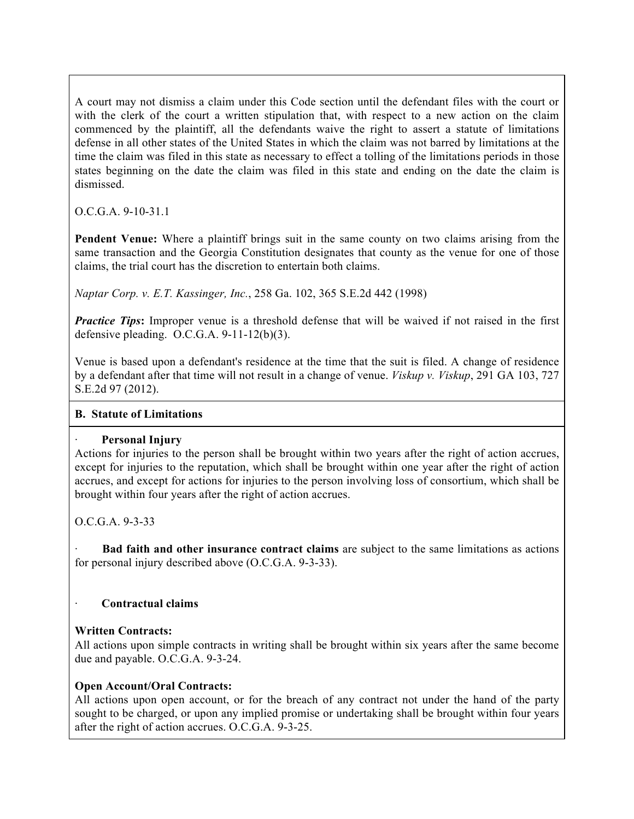A court may not dismiss a claim under this Code section until the defendant files with the court or with the clerk of the court a written stipulation that, with respect to a new action on the claim commenced by the plaintiff, all the defendants waive the right to assert a statute of limitations defense in all other states of the United States in which the claim was not barred by limitations at the time the claim was filed in this state as necessary to effect a tolling of the limitations periods in those states beginning on the date the claim was filed in this state and ending on the date the claim is dismissed.

O.C.G.A. 9-10-31.1

**Pendent Venue:** Where a plaintiff brings suit in the same county on two claims arising from the same transaction and the Georgia Constitution designates that county as the venue for one of those claims, the trial court has the discretion to entertain both claims.

*Naptar Corp. v. E.T. Kassinger, Inc.*, 258 Ga. 102, 365 S.E.2d 442 (1998)

*Practice Tips*: Improper venue is a threshold defense that will be waived if not raised in the first defensive pleading. O.C.G.A. 9-11-12(b)(3).

Venue is based upon a defendant's residence at the time that the suit is filed. A change of residence by a defendant after that time will not result in a change of venue. *Viskup v. Viskup*, 291 GA 103, 727 S.E.2d 97 (2012).

### **B. Statute of Limitations**

### · **Personal Injury**

Actions for injuries to the person shall be brought within two years after the right of action accrues, except for injuries to the reputation, which shall be brought within one year after the right of action accrues, and except for actions for injuries to the person involving loss of consortium, which shall be brought within four years after the right of action accrues.

O.C.G.A. 9-3-33

· **Bad faith and other insurance contract claims** are subject to the same limitations as actions for personal injury described above (O.C.G.A. 9-3-33).

### · **Contractual claims**

### **Written Contracts:**

All actions upon simple contracts in writing shall be brought within six years after the same become due and payable. O.C.G.A. 9-3-24.

### **Open Account/Oral Contracts:**

All actions upon open account, or for the breach of any contract not under the hand of the party sought to be charged, or upon any implied promise or undertaking shall be brought within four years after the right of action accrues. O.C.G.A. 9-3-25.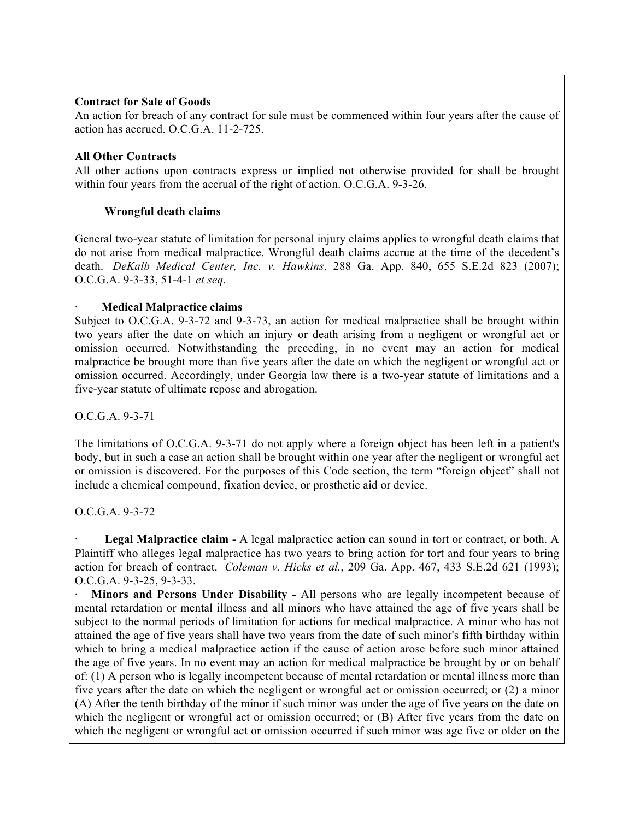### **Contract for Sale of Goods**

An action for breach of any contract for sale must be commenced within four years after the cause of action has accrued. O.C.G.A. 11-2-725.

#### **All Other Contracts**

All other actions upon contracts express or implied not otherwise provided for shall be brought within four years from the accrual of the right of action. O.C.G.A. 9-3-26.

### **Wrongful death claims**

General two-year statute of limitation for personal injury claims applies to wrongful death claims that do not arise from medical malpractice. Wrongful death claims accrue at the time of the decedent's death. *DeKalb Medical Center, Inc. v. Hawkins*, 288 Ga. App. 840, 655 S.E.2d 823 (2007); O.C.G.A. 9-3-33, 51-4-1 *et seq*.

### **Medical Malpractice claims**

Subject to O.C.G.A. 9-3-72 and 9-3-73, an action for medical malpractice shall be brought within two years after the date on which an injury or death arising from a negligent or wrongful act or omission occurred. Notwithstanding the preceding, in no event may an action for medical malpractice be brought more than five years after the date on which the negligent or wrongful act or omission occurred. Accordingly, under Georgia law there is a two-year statute of limitations and a five-year statute of ultimate repose and abrogation.

O.C.G.A. 9-3-71

The limitations of O.C.G.A. 9-3-71 do not apply where a foreign object has been left in a patient's body, but in such a case an action shall be brought within one year after the negligent or wrongful act or omission is discovered. For the purposes of this Code section, the term "foreign object" shall not include a chemical compound, fixation device, or prosthetic aid or device.

### O.C.G.A. 9-3-72

**Legal Malpractice claim** - A legal malpractice action can sound in tort or contract, or both. A Plaintiff who alleges legal malpractice has two years to bring action for tort and four years to bring action for breach of contract. *Coleman v. Hicks et al.*, 209 Ga. App. 467, 433 S.E.2d 621 (1993); O.C.G.A. 9-3-25, 9-3-33.

· **Minors and Persons Under Disability -** All persons who are legally incompetent because of mental retardation or mental illness and all minors who have attained the age of five years shall be subject to the normal periods of limitation for actions for medical malpractice. A minor who has not attained the age of five years shall have two years from the date of such minor's fifth birthday within which to bring a medical malpractice action if the cause of action arose before such minor attained the age of five years. In no event may an action for medical malpractice be brought by or on behalf of: (1) A person who is legally incompetent because of mental retardation or mental illness more than five years after the date on which the negligent or wrongful act or omission occurred; or (2) a minor (A) After the tenth birthday of the minor if such minor was under the age of five years on the date on which the negligent or wrongful act or omission occurred; or  $(B)$  After five years from the date on which the negligent or wrongful act or omission occurred if such minor was age five or older on the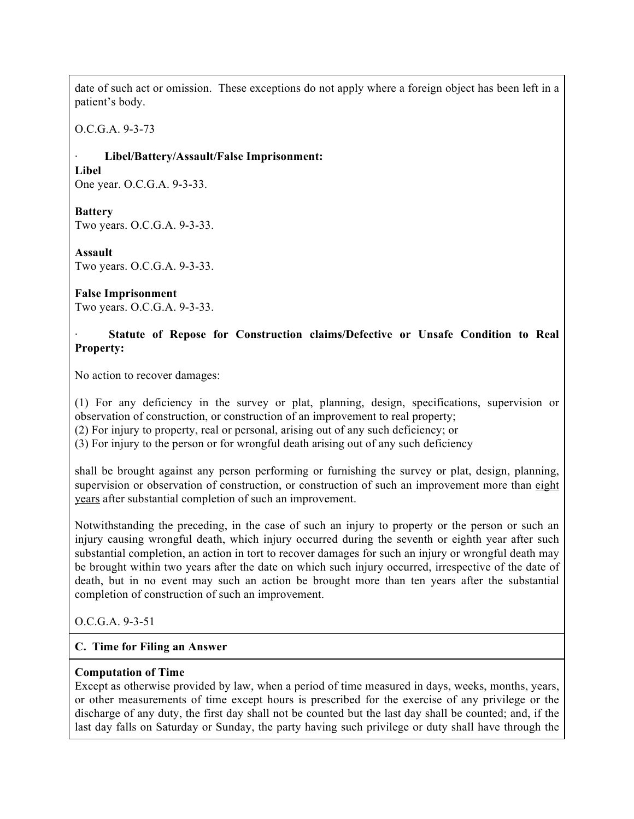date of such act or omission. These exceptions do not apply where a foreign object has been left in a patient's body.

O.C.G.A. 9-3-73

#### · **Libel/Battery/Assault/False Imprisonment:**

**Libel**

One year. O.C.G.A. 9-3-33.

### **Battery**

Two years. O.C.G.A. 9-3-33.

### **Assault**

Two years. O.C.G.A. 9-3-33.

### **False Imprisonment**

Two years. O.C.G.A. 9-3-33.

### Statute of Repose for Construction claims/Defective or Unsafe Condition to Real **Property:**

No action to recover damages:

(1) For any deficiency in the survey or plat, planning, design, specifications, supervision or observation of construction, or construction of an improvement to real property;

(2) For injury to property, real or personal, arising out of any such deficiency; or

(3) For injury to the person or for wrongful death arising out of any such deficiency

shall be brought against any person performing or furnishing the survey or plat, design, planning, supervision or observation of construction, or construction of such an improvement more than eight years after substantial completion of such an improvement.

Notwithstanding the preceding, in the case of such an injury to property or the person or such an injury causing wrongful death, which injury occurred during the seventh or eighth year after such substantial completion, an action in tort to recover damages for such an injury or wrongful death may be brought within two years after the date on which such injury occurred, irrespective of the date of death, but in no event may such an action be brought more than ten years after the substantial completion of construction of such an improvement.

# O.C.G.A. 9-3-51

### **C. Time for Filing an Answer**

### **Computation of Time**

Except as otherwise provided by law, when a period of time measured in days, weeks, months, years, or other measurements of time except hours is prescribed for the exercise of any privilege or the discharge of any duty, the first day shall not be counted but the last day shall be counted; and, if the last day falls on Saturday or Sunday, the party having such privilege or duty shall have through the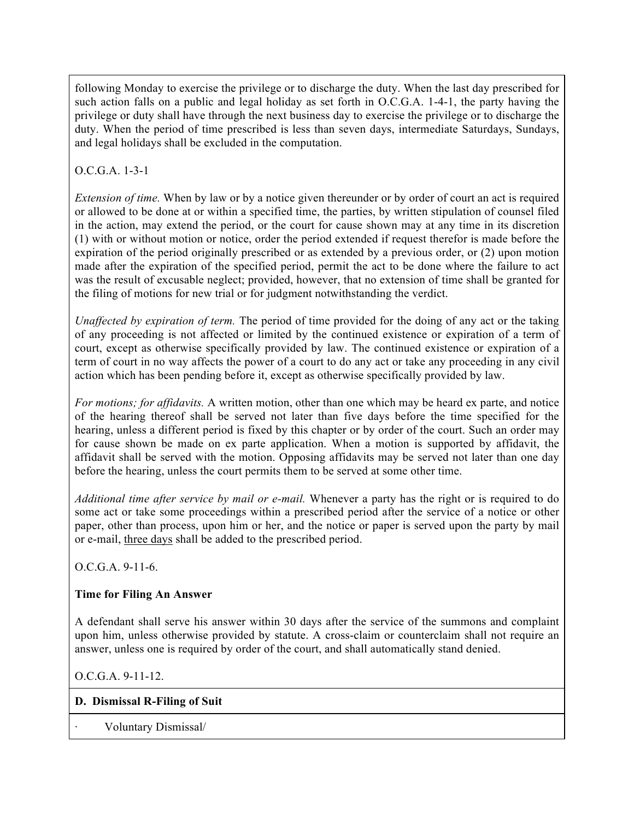following Monday to exercise the privilege or to discharge the duty. When the last day prescribed for such action falls on a public and legal holiday as set forth in O.C.G.A. 1-4-1, the party having the privilege or duty shall have through the next business day to exercise the privilege or to discharge the duty. When the period of time prescribed is less than seven days, intermediate Saturdays, Sundays, and legal holidays shall be excluded in the computation.

# O.C.G.A. 1-3-1

*Extension of time.* When by law or by a notice given thereunder or by order of court an act is required or allowed to be done at or within a specified time, the parties, by written stipulation of counsel filed in the action, may extend the period, or the court for cause shown may at any time in its discretion (1) with or without motion or notice, order the period extended if request therefor is made before the expiration of the period originally prescribed or as extended by a previous order, or (2) upon motion made after the expiration of the specified period, permit the act to be done where the failure to act was the result of excusable neglect; provided, however, that no extension of time shall be granted for the filing of motions for new trial or for judgment notwithstanding the verdict.

*Unaffected by expiration of term.* The period of time provided for the doing of any act or the taking of any proceeding is not affected or limited by the continued existence or expiration of a term of court, except as otherwise specifically provided by law. The continued existence or expiration of a term of court in no way affects the power of a court to do any act or take any proceeding in any civil action which has been pending before it, except as otherwise specifically provided by law.

*For motions; for affidavits.* A written motion, other than one which may be heard ex parte, and notice of the hearing thereof shall be served not later than five days before the time specified for the hearing, unless a different period is fixed by this chapter or by order of the court. Such an order may for cause shown be made on ex parte application. When a motion is supported by affidavit, the affidavit shall be served with the motion. Opposing affidavits may be served not later than one day before the hearing, unless the court permits them to be served at some other time.

*Additional time after service by mail or e-mail.* Whenever a party has the right or is required to do some act or take some proceedings within a prescribed period after the service of a notice or other paper, other than process, upon him or her, and the notice or paper is served upon the party by mail or e-mail, three days shall be added to the prescribed period.

O.C.G.A. 9-11-6.

# **Time for Filing An Answer**

A defendant shall serve his answer within 30 days after the service of the summons and complaint upon him, unless otherwise provided by statute. A cross-claim or counterclaim shall not require an answer, unless one is required by order of the court, and shall automatically stand denied.

# O.C.G.A. 9-11-12.

# **D. Dismissal R-Filing of Suit**

· Voluntary Dismissal/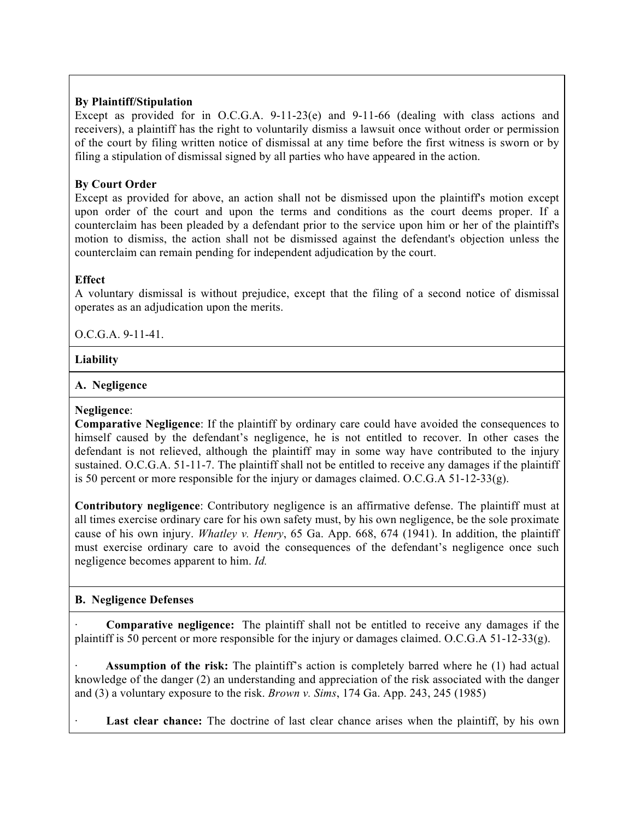### **By Plaintiff/Stipulation**

Except as provided for in O.C.G.A. 9-11-23(e) and 9-11-66 (dealing with class actions and receivers), a plaintiff has the right to voluntarily dismiss a lawsuit once without order or permission of the court by filing written notice of dismissal at any time before the first witness is sworn or by filing a stipulation of dismissal signed by all parties who have appeared in the action.

# **By Court Order**

Except as provided for above, an action shall not be dismissed upon the plaintiff's motion except upon order of the court and upon the terms and conditions as the court deems proper. If a counterclaim has been pleaded by a defendant prior to the service upon him or her of the plaintiff's motion to dismiss, the action shall not be dismissed against the defendant's objection unless the counterclaim can remain pending for independent adjudication by the court.

### **Effect**

A voluntary dismissal is without prejudice, except that the filing of a second notice of dismissal operates as an adjudication upon the merits.

### O.C.G.A. 9-11-41.

### **Liability**

### **A. Negligence**

### **Negligence**:

**Comparative Negligence**: If the plaintiff by ordinary care could have avoided the consequences to himself caused by the defendant's negligence, he is not entitled to recover. In other cases the defendant is not relieved, although the plaintiff may in some way have contributed to the injury sustained. O.C.G.A. 51-11-7. The plaintiff shall not be entitled to receive any damages if the plaintiff is 50 percent or more responsible for the injury or damages claimed. O.C.G.A 51-12-33(g).

**Contributory negligence**: Contributory negligence is an affirmative defense. The plaintiff must at all times exercise ordinary care for his own safety must, by his own negligence, be the sole proximate cause of his own injury. *Whatley v. Henry*, 65 Ga. App. 668, 674 (1941). In addition, the plaintiff must exercise ordinary care to avoid the consequences of the defendant's negligence once such negligence becomes apparent to him. *Id.*

# **B. Negligence Defenses**

· **Comparative negligence:** The plaintiff shall not be entitled to receive any damages if the plaintiff is 50 percent or more responsible for the injury or damages claimed. O.C.G.A 51-12-33(g).

**Assumption of the risk:** The plaintiff's action is completely barred where he (1) had actual knowledge of the danger (2) an understanding and appreciation of the risk associated with the danger and (3) a voluntary exposure to the risk. *Brown v. Sims*, 174 Ga. App. 243, 245 (1985)

**Last clear chance:** The doctrine of last clear chance arises when the plaintiff, by his own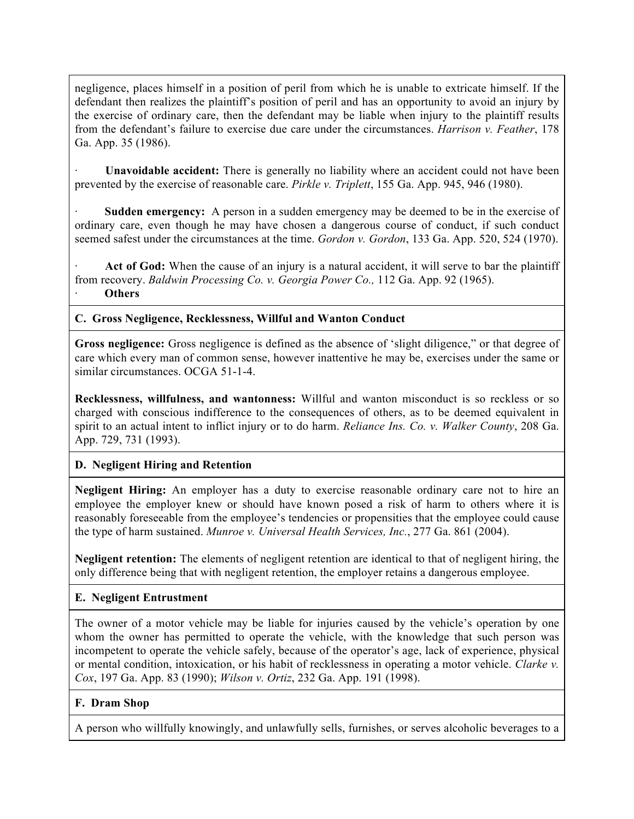negligence, places himself in a position of peril from which he is unable to extricate himself. If the defendant then realizes the plaintiff's position of peril and has an opportunity to avoid an injury by the exercise of ordinary care, then the defendant may be liable when injury to the plaintiff results from the defendant's failure to exercise due care under the circumstances. *Harrison v. Feather*, 178 Ga. App. 35 (1986).

Unavoidable accident: There is generally no liability where an accident could not have been prevented by the exercise of reasonable care. *Pirkle v. Triplett*, 155 Ga. App. 945, 946 (1980).

**Sudden emergency:** A person in a sudden emergency may be deemed to be in the exercise of ordinary care, even though he may have chosen a dangerous course of conduct, if such conduct seemed safest under the circumstances at the time. *Gordon v. Gordon*, 133 Ga. App. 520, 524 (1970).

Act of God: When the cause of an injury is a natural accident, it will serve to bar the plaintiff from recovery. *Baldwin Processing Co. v. Georgia Power Co.,* 112 Ga. App. 92 (1965). · **Others**

### **C. Gross Negligence, Recklessness, Willful and Wanton Conduct**

**Gross negligence:** Gross negligence is defined as the absence of 'slight diligence," or that degree of care which every man of common sense, however inattentive he may be, exercises under the same or similar circumstances. OCGA 51-1-4.

**Recklessness, willfulness, and wantonness:** Willful and wanton misconduct is so reckless or so charged with conscious indifference to the consequences of others, as to be deemed equivalent in spirit to an actual intent to inflict injury or to do harm. *Reliance Ins. Co. v. Walker County*, 208 Ga. App. 729, 731 (1993).

### **D. Negligent Hiring and Retention**

**Negligent Hiring:** An employer has a duty to exercise reasonable ordinary care not to hire an employee the employer knew or should have known posed a risk of harm to others where it is reasonably foreseeable from the employee's tendencies or propensities that the employee could cause the type of harm sustained. *Munroe v. Universal Health Services, Inc.*, 277 Ga. 861 (2004).

**Negligent retention:** The elements of negligent retention are identical to that of negligent hiring, the only difference being that with negligent retention, the employer retains a dangerous employee.

### **E. Negligent Entrustment**

The owner of a motor vehicle may be liable for injuries caused by the vehicle's operation by one whom the owner has permitted to operate the vehicle, with the knowledge that such person was incompetent to operate the vehicle safely, because of the operator's age, lack of experience, physical or mental condition, intoxication, or his habit of recklessness in operating a motor vehicle. *Clarke v. Cox*, 197 Ga. App. 83 (1990); *Wilson v. Ortiz*, 232 Ga. App. 191 (1998).

# **F. Dram Shop**

A person who willfully knowingly, and unlawfully sells, furnishes, or serves alcoholic beverages to a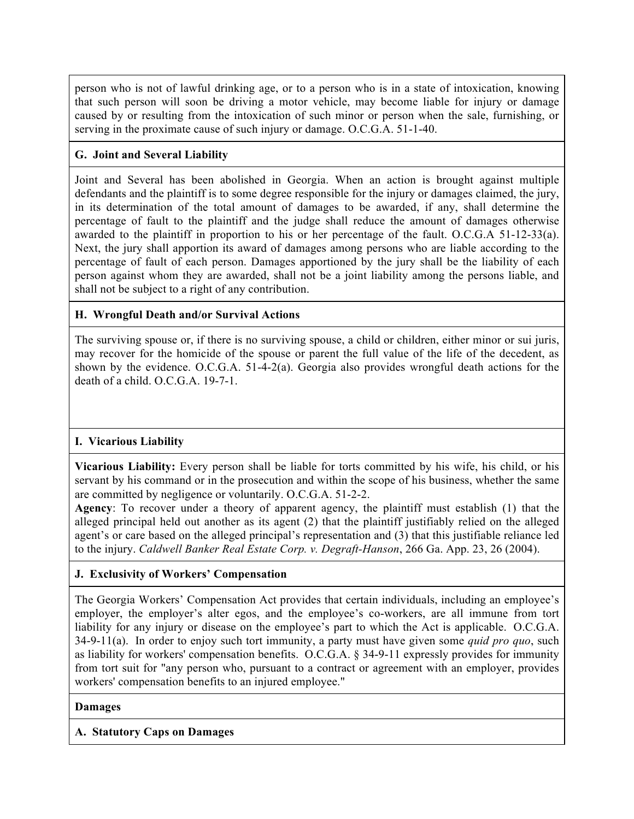person who is not of lawful drinking age, or to a person who is in a state of intoxication, knowing that such person will soon be driving a motor vehicle, may become liable for injury or damage caused by or resulting from the intoxication of such minor or person when the sale, furnishing, or serving in the proximate cause of such injury or damage. O.C.G.A. 51-1-40.

### **G. Joint and Several Liability**

Joint and Several has been abolished in Georgia. When an action is brought against multiple defendants and the plaintiff is to some degree responsible for the injury or damages claimed, the jury, in its determination of the total amount of damages to be awarded, if any, shall determine the percentage of fault to the plaintiff and the judge shall reduce the amount of damages otherwise awarded to the plaintiff in proportion to his or her percentage of the fault. O.C.G.A 51-12-33(a). Next, the jury shall apportion its award of damages among persons who are liable according to the percentage of fault of each person. Damages apportioned by the jury shall be the liability of each person against whom they are awarded, shall not be a joint liability among the persons liable, and shall not be subject to a right of any contribution.

### **H. Wrongful Death and/or Survival Actions**

The surviving spouse or, if there is no surviving spouse, a child or children, either minor or sui juris, may recover for the homicide of the spouse or parent the full value of the life of the decedent, as shown by the evidence. O.C.G.A. 51-4-2(a). Georgia also provides wrongful death actions for the death of a child. O.C.G.A. 19-7-1.

### **I. Vicarious Liability**

**Vicarious Liability:** Every person shall be liable for torts committed by his wife, his child, or his servant by his command or in the prosecution and within the scope of his business, whether the same are committed by negligence or voluntarily. O.C.G.A. 51-2-2.

**Agency**: To recover under a theory of apparent agency, the plaintiff must establish (1) that the alleged principal held out another as its agent (2) that the plaintiff justifiably relied on the alleged agent's or care based on the alleged principal's representation and (3) that this justifiable reliance led to the injury. *Caldwell Banker Real Estate Corp. v. Degraft-Hanson*, 266 Ga. App. 23, 26 (2004).

### **J. Exclusivity of Workers' Compensation**

The Georgia Workers' Compensation Act provides that certain individuals, including an employee's employer, the employer's alter egos, and the employee's co-workers, are all immune from tort liability for any injury or disease on the employee's part to which the Act is applicable. O.C.G.A. 34-9-11(a). In order to enjoy such tort immunity, a party must have given some *quid pro quo*, such as liability for workers' compensation benefits. O.C.G.A. § 34-9-11 expressly provides for immunity from tort suit for "any person who, pursuant to a contract or agreement with an employer, provides workers' compensation benefits to an injured employee."

### **Damages**

### **A. Statutory Caps on Damages**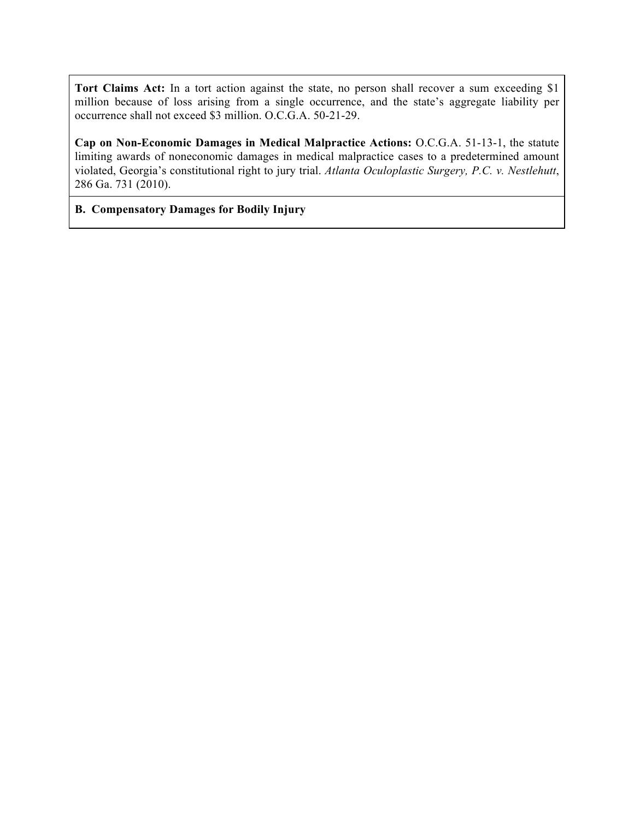**Tort Claims Act:** In a tort action against the state, no person shall recover a sum exceeding \$1 million because of loss arising from a single occurrence, and the state's aggregate liability per occurrence shall not exceed \$3 million. O.C.G.A. 50-21-29.

**Cap on Non-Economic Damages in Medical Malpractice Actions:** O.C.G.A. 51-13-1, the statute limiting awards of noneconomic damages in medical malpractice cases to a predetermined amount violated, Georgia's constitutional right to jury trial. *Atlanta Oculoplastic Surgery, P.C. v. Nestlehutt*, 286 Ga. 731 (2010).

**B. Compensatory Damages for Bodily Injury**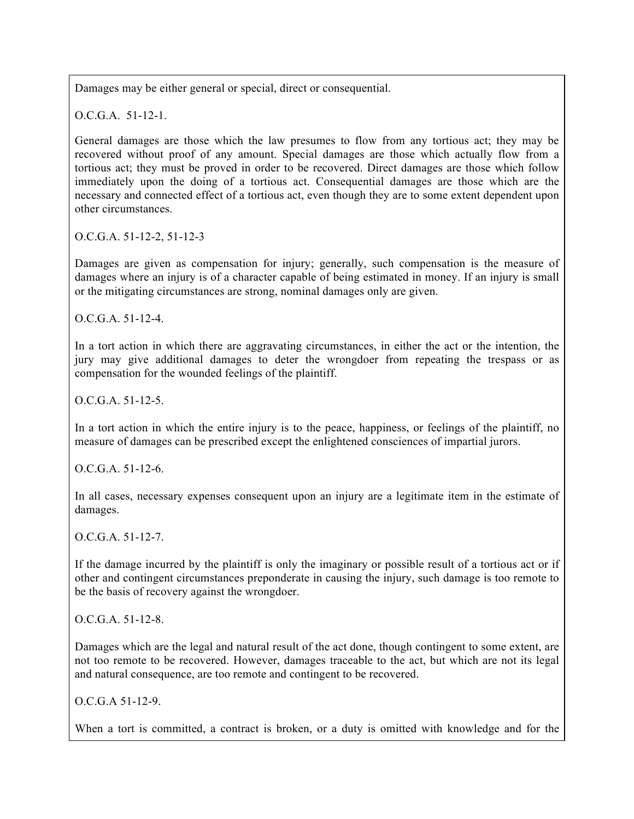Damages may be either general or special, direct or consequential.

O.C.G.A. 51-12-1.

General damages are those which the law presumes to flow from any tortious act; they may be recovered without proof of any amount. Special damages are those which actually flow from a tortious act; they must be proved in order to be recovered. Direct damages are those which follow immediately upon the doing of a tortious act. Consequential damages are those which are the necessary and connected effect of a tortious act, even though they are to some extent dependent upon other circumstances.

O.C.G.A. 51-12-2, 51-12-3

Damages are given as compensation for injury; generally, such compensation is the measure of damages where an injury is of a character capable of being estimated in money. If an injury is small or the mitigating circumstances are strong, nominal damages only are given.

O.C.G.A. 51-12-4.

In a tort action in which there are aggravating circumstances, in either the act or the intention, the jury may give additional damages to deter the wrongdoer from repeating the trespass or as compensation for the wounded feelings of the plaintiff.

O.C.G.A. 51-12-5.

In a tort action in which the entire injury is to the peace, happiness, or feelings of the plaintiff, no measure of damages can be prescribed except the enlightened consciences of impartial jurors.

O.C.G.A. 51-12-6.

In all cases, necessary expenses consequent upon an injury are a legitimate item in the estimate of damages.

O.C.G.A. 51-12-7.

If the damage incurred by the plaintiff is only the imaginary or possible result of a tortious act or if other and contingent circumstances preponderate in causing the injury, such damage is too remote to be the basis of recovery against the wrongdoer.

O.C.G.A. 51-12-8.

Damages which are the legal and natural result of the act done, though contingent to some extent, are not too remote to be recovered. However, damages traceable to the act, but which are not its legal and natural consequence, are too remote and contingent to be recovered.

O.C.G.A 51-12-9.

When a tort is committed, a contract is broken, or a duty is omitted with knowledge and for the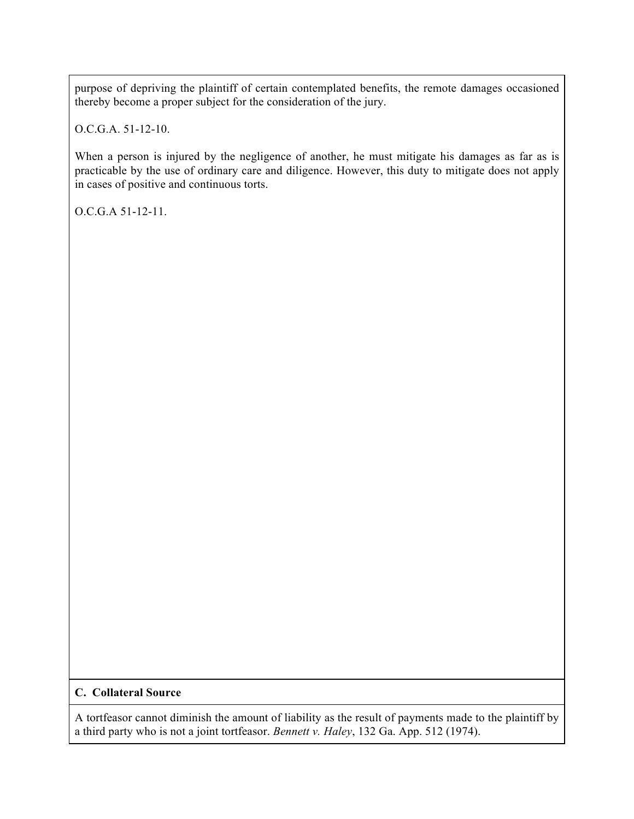purpose of depriving the plaintiff of certain contemplated benefits, the remote damages occasioned thereby become a proper subject for the consideration of the jury.

O.C.G.A. 51-12-10.

When a person is injured by the negligence of another, he must mitigate his damages as far as is practicable by the use of ordinary care and diligence. However, this duty to mitigate does not apply in cases of positive and continuous torts.

O.C.G.A 51-12-11.

#### **C. Collateral Source**

A tortfeasor cannot diminish the amount of liability as the result of payments made to the plaintiff by a third party who is not a joint tortfeasor. *Bennett v. Haley*, 132 Ga. App. 512 (1974).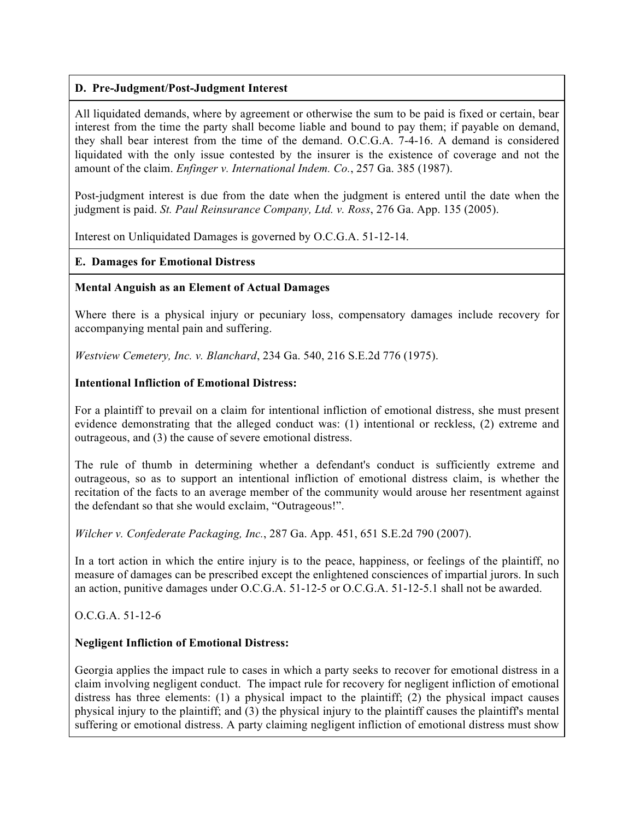## **D. Pre-Judgment/Post-Judgment Interest**

All liquidated demands, where by agreement or otherwise the sum to be paid is fixed or certain, bear interest from the time the party shall become liable and bound to pay them; if payable on demand, they shall bear interest from the time of the demand. O.C.G.A. 7-4-16. A demand is considered liquidated with the only issue contested by the insurer is the existence of coverage and not the amount of the claim. *Enfinger v. International Indem. Co.*, 257 Ga. 385 (1987).

Post-judgment interest is due from the date when the judgment is entered until the date when the judgment is paid. *St. Paul Reinsurance Company, Ltd. v. Ross*, 276 Ga. App. 135 (2005).

Interest on Unliquidated Damages is governed by O.C.G.A. 51-12-14.

### **E. Damages for Emotional Distress**

### **Mental Anguish as an Element of Actual Damages**

Where there is a physical injury or pecuniary loss, compensatory damages include recovery for accompanying mental pain and suffering.

*Westview Cemetery, Inc. v. Blanchard*, 234 Ga. 540, 216 S.E.2d 776 (1975).

### **Intentional Infliction of Emotional Distress:**

For a plaintiff to prevail on a claim for intentional infliction of emotional distress, she must present evidence demonstrating that the alleged conduct was: (1) intentional or reckless, (2) extreme and outrageous, and (3) the cause of severe emotional distress.

The rule of thumb in determining whether a defendant's conduct is sufficiently extreme and outrageous, so as to support an intentional infliction of emotional distress claim, is whether the recitation of the facts to an average member of the community would arouse her resentment against the defendant so that she would exclaim, "Outrageous!".

*Wilcher v. Confederate Packaging, Inc.*, 287 Ga. App. 451, 651 S.E.2d 790 (2007).

In a tort action in which the entire injury is to the peace, happiness, or feelings of the plaintiff, no measure of damages can be prescribed except the enlightened consciences of impartial jurors. In such an action, punitive damages under O.C.G.A. 51-12-5 or O.C.G.A. 51-12-5.1 shall not be awarded.

O.C.G.A. 51-12-6

# **Negligent Infliction of Emotional Distress:**

Georgia applies the impact rule to cases in which a party seeks to recover for emotional distress in a claim involving negligent conduct. The impact rule for recovery for negligent infliction of emotional distress has three elements: (1) a physical impact to the plaintiff; (2) the physical impact causes physical injury to the plaintiff; and (3) the physical injury to the plaintiff causes the plaintiff's mental suffering or emotional distress. A party claiming negligent infliction of emotional distress must show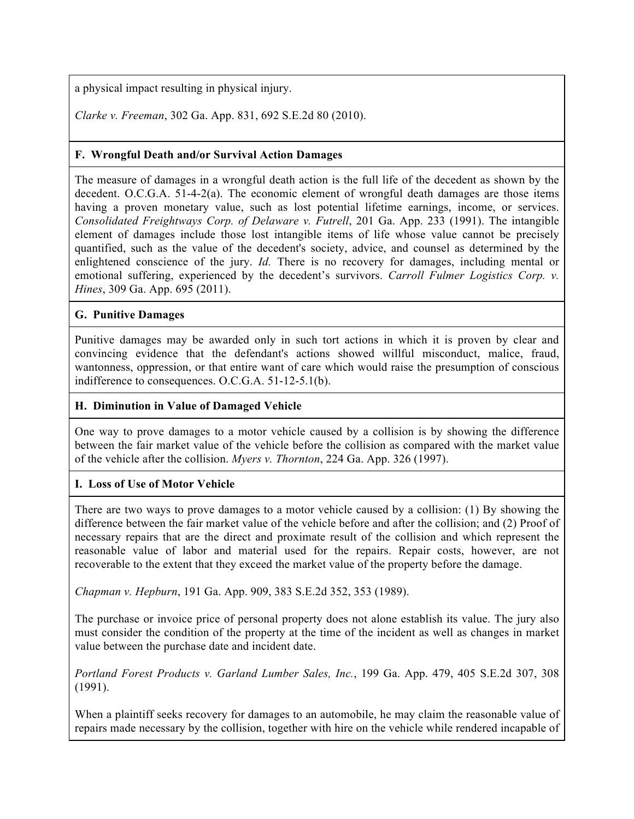a physical impact resulting in physical injury.

*Clarke v. Freeman*, 302 Ga. App. 831, 692 S.E.2d 80 (2010).

# **F. Wrongful Death and/or Survival Action Damages**

The measure of damages in a wrongful death action is the full life of the decedent as shown by the decedent. O.C.G.A. 51-4-2(a). The economic element of wrongful death damages are those items having a proven monetary value, such as lost potential lifetime earnings, income, or services. *Consolidated Freightways Corp. of Delaware v. Futrell*, 201 Ga. App. 233 (1991). The intangible element of damages include those lost intangible items of life whose value cannot be precisely quantified, such as the value of the decedent's society, advice, and counsel as determined by the enlightened conscience of the jury. *Id.* There is no recovery for damages, including mental or emotional suffering, experienced by the decedent's survivors. *Carroll Fulmer Logistics Corp. v. Hines*, 309 Ga. App. 695 (2011).

# **G. Punitive Damages**

Punitive damages may be awarded only in such tort actions in which it is proven by clear and convincing evidence that the defendant's actions showed willful misconduct, malice, fraud, wantonness, oppression, or that entire want of care which would raise the presumption of conscious indifference to consequences. O.C.G.A. 51-12-5.1(b).

## **H. Diminution in Value of Damaged Vehicle**

One way to prove damages to a motor vehicle caused by a collision is by showing the difference between the fair market value of the vehicle before the collision as compared with the market value of the vehicle after the collision. *Myers v. Thornton*, 224 Ga. App. 326 (1997).

# **I. Loss of Use of Motor Vehicle**

There are two ways to prove damages to a motor vehicle caused by a collision: (1) By showing the difference between the fair market value of the vehicle before and after the collision; and (2) Proof of necessary repairs that are the direct and proximate result of the collision and which represent the reasonable value of labor and material used for the repairs. Repair costs, however, are not recoverable to the extent that they exceed the market value of the property before the damage.

*Chapman v. Hepburn*, 191 Ga. App. 909, 383 S.E.2d 352, 353 (1989).

The purchase or invoice price of personal property does not alone establish its value. The jury also must consider the condition of the property at the time of the incident as well as changes in market value between the purchase date and incident date.

*Portland Forest Products v. Garland Lumber Sales, Inc.*, 199 Ga. App. 479, 405 S.E.2d 307, 308 (1991).

When a plaintiff seeks recovery for damages to an automobile, he may claim the reasonable value of repairs made necessary by the collision, together with hire on the vehicle while rendered incapable of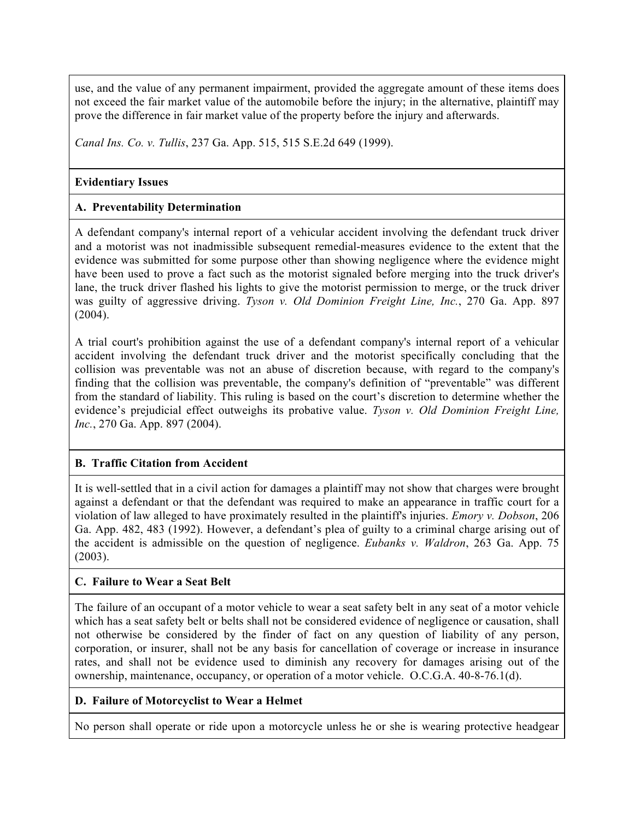use, and the value of any permanent impairment, provided the aggregate amount of these items does not exceed the fair market value of the automobile before the injury; in the alternative, plaintiff may prove the difference in fair market value of the property before the injury and afterwards.

*Canal Ins. Co. v. Tullis*, 237 Ga. App. 515, 515 S.E.2d 649 (1999).

#### **Evidentiary Issues**

#### **A. Preventability Determination**

A defendant company's internal report of a vehicular accident involving the defendant truck driver and a motorist was not inadmissible subsequent remedial-measures evidence to the extent that the evidence was submitted for some purpose other than showing negligence where the evidence might have been used to prove a fact such as the motorist signaled before merging into the truck driver's lane, the truck driver flashed his lights to give the motorist permission to merge, or the truck driver was guilty of aggressive driving. *Tyson v. Old Dominion Freight Line, Inc.*, 270 Ga. App. 897 (2004).

A trial court's prohibition against the use of a defendant company's internal report of a vehicular accident involving the defendant truck driver and the motorist specifically concluding that the collision was preventable was not an abuse of discretion because, with regard to the company's finding that the collision was preventable, the company's definition of "preventable" was different from the standard of liability. This ruling is based on the court's discretion to determine whether the evidence's prejudicial effect outweighs its probative value. *Tyson v. Old Dominion Freight Line, Inc.*, 270 Ga. App. 897 (2004).

### **B. Traffic Citation from Accident**

It is well-settled that in a civil action for damages a plaintiff may not show that charges were brought against a defendant or that the defendant was required to make an appearance in traffic court for a violation of law alleged to have proximately resulted in the plaintiff's injuries. *Emory v. Dobson*, 206 Ga. App. 482, 483 (1992). However, a defendant's plea of guilty to a criminal charge arising out of the accident is admissible on the question of negligence. *Eubanks v. Waldron*, 263 Ga. App. 75 (2003).

#### **C. Failure to Wear a Seat Belt**

The failure of an occupant of a motor vehicle to wear a seat safety belt in any seat of a motor vehicle which has a seat safety belt or belts shall not be considered evidence of negligence or causation, shall not otherwise be considered by the finder of fact on any question of liability of any person, corporation, or insurer, shall not be any basis for cancellation of coverage or increase in insurance rates, and shall not be evidence used to diminish any recovery for damages arising out of the ownership, maintenance, occupancy, or operation of a motor vehicle. O.C.G.A. 40-8-76.1(d).

#### **D. Failure of Motorcyclist to Wear a Helmet**

No person shall operate or ride upon a motorcycle unless he or she is wearing protective headgear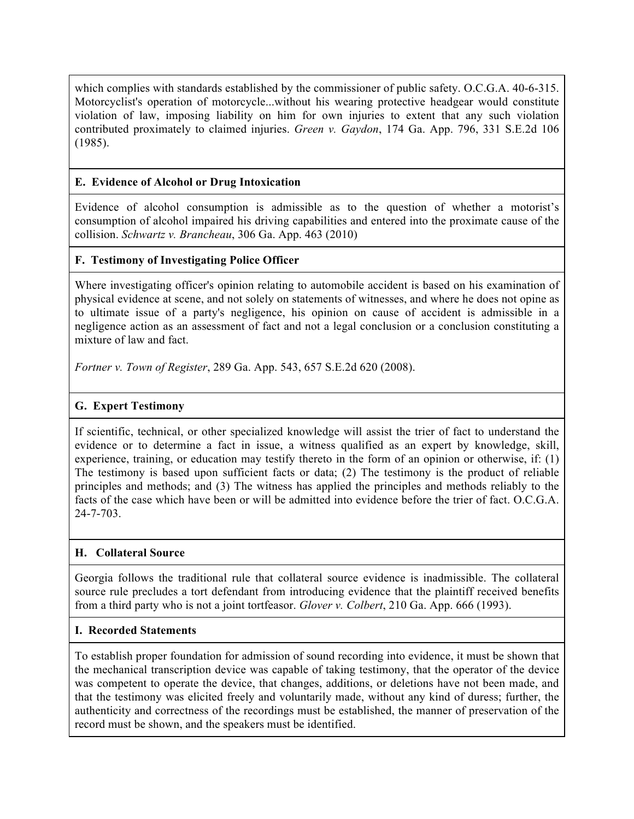which complies with standards established by the commissioner of public safety. O.C.G.A. 40-6-315. Motorcyclist's operation of motorcycle...without his wearing protective headgear would constitute violation of law, imposing liability on him for own injuries to extent that any such violation contributed proximately to claimed injuries. *Green v. Gaydon*, 174 Ga. App. 796, 331 S.E.2d 106 (1985).

#### **E. Evidence of Alcohol or Drug Intoxication**

Evidence of alcohol consumption is admissible as to the question of whether a motorist's consumption of alcohol impaired his driving capabilities and entered into the proximate cause of the collision. *Schwartz v. Brancheau*, 306 Ga. App. 463 (2010)

### **F. Testimony of Investigating Police Officer**

Where investigating officer's opinion relating to automobile accident is based on his examination of physical evidence at scene, and not solely on statements of witnesses, and where he does not opine as to ultimate issue of a party's negligence, his opinion on cause of accident is admissible in a negligence action as an assessment of fact and not a legal conclusion or a conclusion constituting a mixture of law and fact.

*Fortner v. Town of Register*, 289 Ga. App. 543, 657 S.E.2d 620 (2008).

### **G. Expert Testimony**

If scientific, technical, or other specialized knowledge will assist the trier of fact to understand the evidence or to determine a fact in issue, a witness qualified as an expert by knowledge, skill, experience, training, or education may testify thereto in the form of an opinion or otherwise, if: (1) The testimony is based upon sufficient facts or data; (2) The testimony is the product of reliable principles and methods; and (3) The witness has applied the principles and methods reliably to the facts of the case which have been or will be admitted into evidence before the trier of fact. O.C.G.A. 24-7-703.

#### **H. Collateral Source**

Georgia follows the traditional rule that collateral source evidence is inadmissible. The collateral source rule precludes a tort defendant from introducing evidence that the plaintiff received benefits from a third party who is not a joint tortfeasor. *Glover v. Colbert*, 210 Ga. App. 666 (1993).

#### **I. Recorded Statements**

To establish proper foundation for admission of sound recording into evidence, it must be shown that the mechanical transcription device was capable of taking testimony, that the operator of the device was competent to operate the device, that changes, additions, or deletions have not been made, and that the testimony was elicited freely and voluntarily made, without any kind of duress; further, the authenticity and correctness of the recordings must be established, the manner of preservation of the record must be shown, and the speakers must be identified.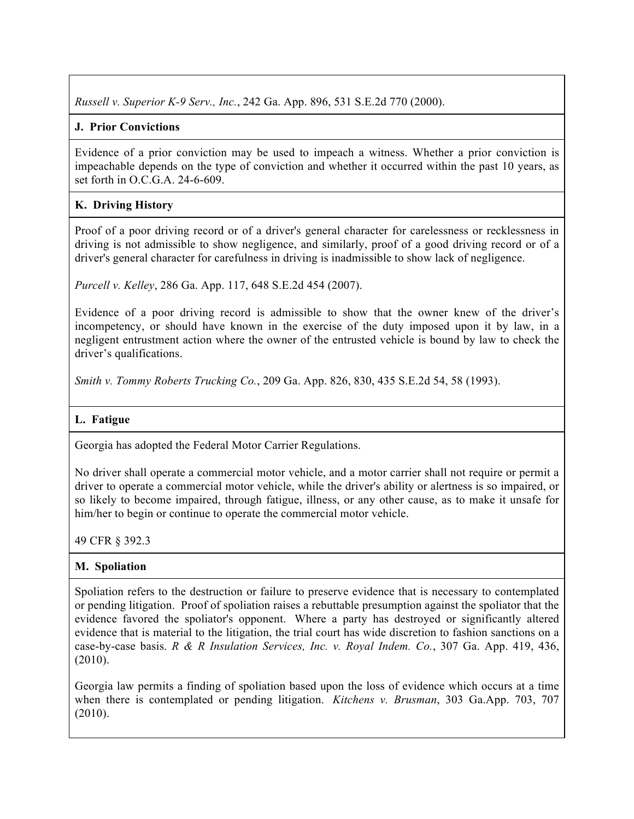*Russell v. Superior K-9 Serv., Inc.*, 242 Ga. App. 896, 531 S.E.2d 770 (2000).

### **J. Prior Convictions**

Evidence of a prior conviction may be used to impeach a witness. Whether a prior conviction is impeachable depends on the type of conviction and whether it occurred within the past 10 years, as set forth in O.C.G.A. 24-6-609.

# **K. Driving History**

Proof of a poor driving record or of a driver's general character for carelessness or recklessness in driving is not admissible to show negligence, and similarly, proof of a good driving record or of a driver's general character for carefulness in driving is inadmissible to show lack of negligence.

*Purcell v. Kelley*, 286 Ga. App. 117, 648 S.E.2d 454 (2007).

Evidence of a poor driving record is admissible to show that the owner knew of the driver's incompetency, or should have known in the exercise of the duty imposed upon it by law, in a negligent entrustment action where the owner of the entrusted vehicle is bound by law to check the driver's qualifications.

*Smith v. Tommy Roberts Trucking Co.*, 209 Ga. App. 826, 830, 435 S.E.2d 54, 58 (1993).

### **L. Fatigue**

Georgia has adopted the Federal Motor Carrier Regulations.

No driver shall operate a commercial motor vehicle, and a motor carrier shall not require or permit a driver to operate a commercial motor vehicle, while the driver's ability or alertness is so impaired, or so likely to become impaired, through fatigue, illness, or any other cause, as to make it unsafe for him/her to begin or continue to operate the commercial motor vehicle.

49 CFR § 392.3

# **M. Spoliation**

Spoliation refers to the destruction or failure to preserve evidence that is necessary to contemplated or pending litigation. Proof of spoliation raises a rebuttable presumption against the spoliator that the evidence favored the spoliator's opponent. Where a party has destroyed or significantly altered evidence that is material to the litigation, the trial court has wide discretion to fashion sanctions on a case-by-case basis. *R & R Insulation Services, Inc. v. Royal Indem. Co.*, 307 Ga. App. 419, 436, (2010).

Georgia law permits a finding of spoliation based upon the loss of evidence which occurs at a time when there is contemplated or pending litigation. *Kitchens v. Brusman*, 303 Ga.App. 703, 707 (2010).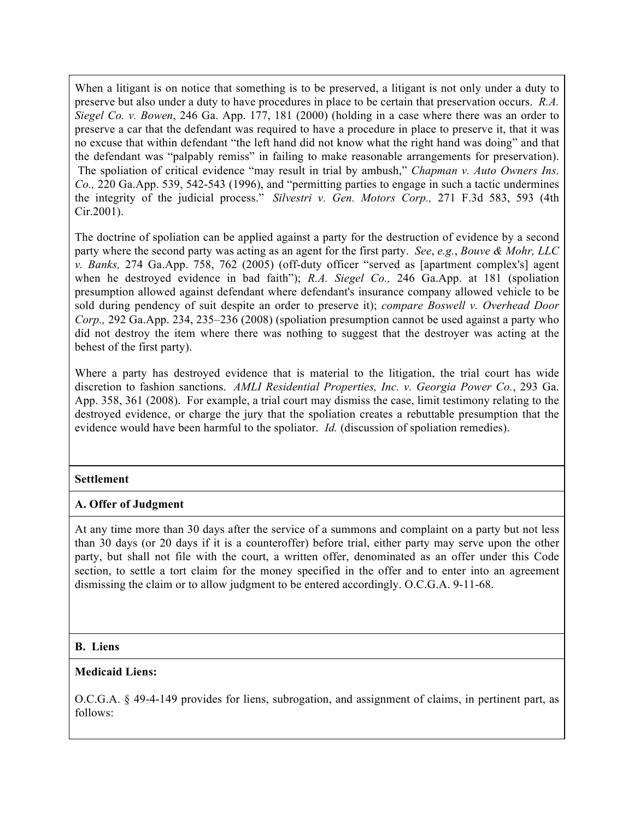When a litigant is on notice that something is to be preserved, a litigant is not only under a duty to preserve but also under a duty to have procedures in place to be certain that preservation occurs. *R.A. Siegel Co. v. Bowen*, 246 Ga. App. 177, 181 (2000) (holding in a case where there was an order to preserve a car that the defendant was required to have a procedure in place to preserve it, that it was no excuse that within defendant "the left hand did not know what the right hand was doing" and that the defendant was "palpably remiss" in failing to make reasonable arrangements for preservation). The spoliation of critical evidence "may result in trial by ambush," *Chapman v. Auto Owners Ins. Co.,* 220 Ga.App. 539, 542-543 (1996), and "permitting parties to engage in such a tactic undermines the integrity of the judicial process." *Silvestri v. Gen. Motors Corp.,* 271 F.3d 583, 593 (4th Cir.2001).

The doctrine of spoliation can be applied against a party for the destruction of evidence by a second party where the second party was acting as an agent for the first party. *See*, *e.g.*, *Bouve & Mohr, LLC v. Banks,* 274 Ga.App. 758, 762 (2005) (off-duty officer "served as [apartment complex's] agent when he destroyed evidence in bad faith"); *R.A. Siegel Co.,* 246 Ga.App. at 181 (spoliation presumption allowed against defendant where defendant's insurance company allowed vehicle to be sold during pendency of suit despite an order to preserve it); *compare Boswell v. Overhead Door Corp.,* 292 Ga.App. 234, 235–236 (2008) (spoliation presumption cannot be used against a party who did not destroy the item where there was nothing to suggest that the destroyer was acting at the behest of the first party).

Where a party has destroyed evidence that is material to the litigation, the trial court has wide discretion to fashion sanctions. *AMLI Residential Properties, Inc. v. Georgia Power Co.*, 293 Ga. App. 358, 361 (2008). For example, a trial court may dismiss the case, limit testimony relating to the destroyed evidence, or charge the jury that the spoliation creates a rebuttable presumption that the evidence would have been harmful to the spoliator. *Id.* (discussion of spoliation remedies).

### **Settlement**

### **A. Offer of Judgment**

At any time more than 30 days after the service of a summons and complaint on a party but not less than 30 days (or 20 days if it is a counteroffer) before trial, either party may serve upon the other party, but shall not file with the court, a written offer, denominated as an offer under this Code section, to settle a tort claim for the money specified in the offer and to enter into an agreement dismissing the claim or to allow judgment to be entered accordingly. O.C.G.A. 9-11-68.

#### **B. Liens**

### **Medicaid Liens:**

O.C.G.A. § 49-4-149 provides for liens, subrogation, and assignment of claims, in pertinent part, as follows: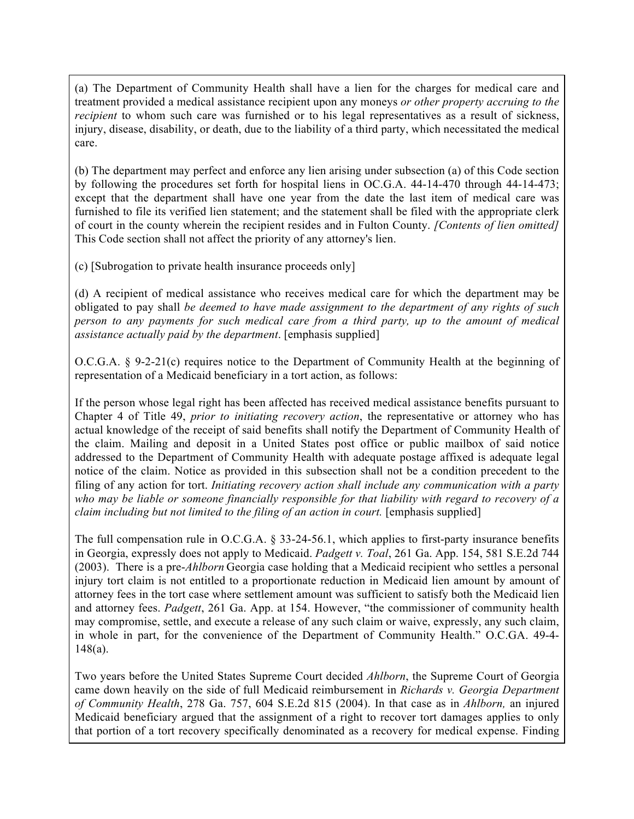(a) The Department of Community Health shall have a lien for the charges for medical care and treatment provided a medical assistance recipient upon any moneys *or other property accruing to the recipient* to whom such care was furnished or to his legal representatives as a result of sickness, injury, disease, disability, or death, due to the liability of a third party, which necessitated the medical care.

(b) The department may perfect and enforce any lien arising under subsection (a) of this Code section by following the procedures set forth for hospital liens in OC.G.A. 44-14-470 through 44-14-473; except that the department shall have one year from the date the last item of medical care was furnished to file its verified lien statement; and the statement shall be filed with the appropriate clerk of court in the county wherein the recipient resides and in Fulton County. *[Contents of lien omitted]* This Code section shall not affect the priority of any attorney's lien.

(c) [Subrogation to private health insurance proceeds only]

(d) A recipient of medical assistance who receives medical care for which the department may be obligated to pay shall *be deemed to have made assignment to the department of any rights of such person to any payments for such medical care from a third party, up to the amount of medical assistance actually paid by the department*. [emphasis supplied]

O.C.G.A. § 9-2-21(c) requires notice to the Department of Community Health at the beginning of representation of a Medicaid beneficiary in a tort action, as follows:

If the person whose legal right has been affected has received medical assistance benefits pursuant to Chapter 4 of Title 49, *prior to initiating recovery action*, the representative or attorney who has actual knowledge of the receipt of said benefits shall notify the Department of Community Health of the claim. Mailing and deposit in a United States post office or public mailbox of said notice addressed to the Department of Community Health with adequate postage affixed is adequate legal notice of the claim. Notice as provided in this subsection shall not be a condition precedent to the filing of any action for tort. *Initiating recovery action shall include any communication with a party who may be liable or someone financially responsible for that liability with regard to recovery of a claim including but not limited to the filing of an action in court.* [emphasis supplied]

The full compensation rule in O.C.G.A. § 33-24-56.1, which applies to first-party insurance benefits in Georgia, expressly does not apply to Medicaid. *Padgett v. Toal*, 261 Ga. App. 154, 581 S.E.2d 744 (2003). There is a pre-*Ahlborn* Georgia case holding that a Medicaid recipient who settles a personal injury tort claim is not entitled to a proportionate reduction in Medicaid lien amount by amount of attorney fees in the tort case where settlement amount was sufficient to satisfy both the Medicaid lien and attorney fees. *Padgett*, 261 Ga. App. at 154. However, "the commissioner of community health may compromise, settle, and execute a release of any such claim or waive, expressly, any such claim, in whole in part, for the convenience of the Department of Community Health." O.C.GA. 49-4- 148(a).

Two years before the United States Supreme Court decided *Ahlborn*, the Supreme Court of Georgia came down heavily on the side of full Medicaid reimbursement in *Richards v. Georgia Department of Community Health*, 278 Ga. 757, 604 S.E.2d 815 (2004). In that case as in *Ahlborn,* an injured Medicaid beneficiary argued that the assignment of a right to recover tort damages applies to only that portion of a tort recovery specifically denominated as a recovery for medical expense. Finding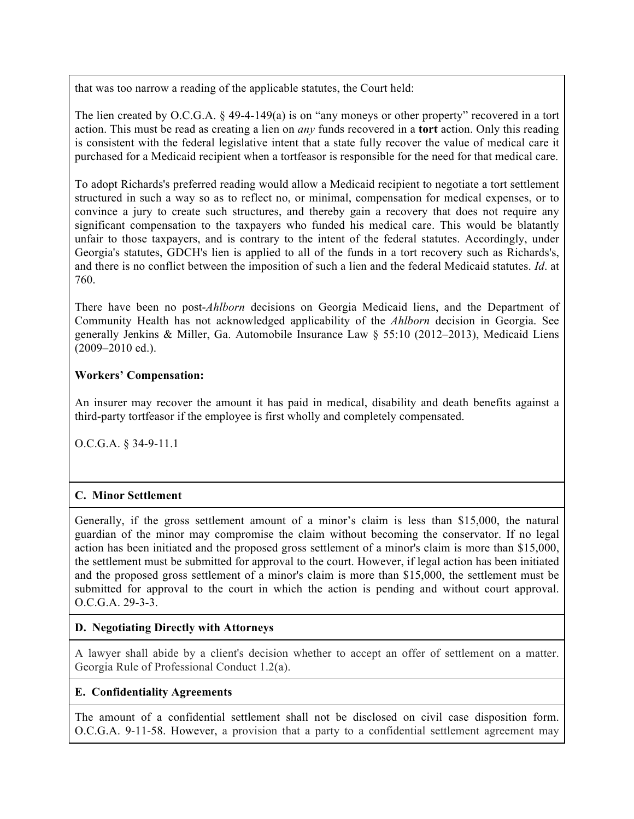that was too narrow a reading of the applicable statutes, the Court held:

The lien created by O.C.G.A. § 49-4-149(a) is on "any moneys or other property" recovered in a tort action. This must be read as creating a lien on *any* funds recovered in a **tort** action. Only this reading is consistent with the federal legislative intent that a state fully recover the value of medical care it purchased for a Medicaid recipient when a tortfeasor is responsible for the need for that medical care.

To adopt Richards's preferred reading would allow a Medicaid recipient to negotiate a tort settlement structured in such a way so as to reflect no, or minimal, compensation for medical expenses, or to convince a jury to create such structures, and thereby gain a recovery that does not require any significant compensation to the taxpayers who funded his medical care. This would be blatantly unfair to those taxpayers, and is contrary to the intent of the federal statutes. Accordingly, under Georgia's statutes, GDCH's lien is applied to all of the funds in a tort recovery such as Richards's, and there is no conflict between the imposition of such a lien and the federal Medicaid statutes. *Id*. at 760.

There have been no post-*Ahlborn* decisions on Georgia Medicaid liens, and the Department of Community Health has not acknowledged applicability of the *Ahlborn* decision in Georgia. See generally Jenkins & Miller, Ga. Automobile Insurance Law § 55:10 (2012–2013), Medicaid Liens (2009–2010 ed.).

### **Workers' Compensation:**

An insurer may recover the amount it has paid in medical, disability and death benefits against a third-party tortfeasor if the employee is first wholly and completely compensated.

O.C.G.A. § 34-9-11.1

# **C. Minor Settlement**

Generally, if the gross settlement amount of a minor's claim is less than \$15,000, the natural guardian of the minor may compromise the claim without becoming the conservator. If no legal action has been initiated and the proposed gross settlement of a minor's claim is more than \$15,000, the settlement must be submitted for approval to the court. However, if legal action has been initiated and the proposed gross settlement of a minor's claim is more than \$15,000, the settlement must be submitted for approval to the court in which the action is pending and without court approval. O.C.G.A. 29-3-3.

### **D. Negotiating Directly with Attorneys**

A lawyer shall abide by a client's decision whether to accept an offer of settlement on a matter. Georgia Rule of Professional Conduct 1.2(a).

### **E. Confidentiality Agreements**

The amount of a confidential settlement shall not be disclosed on civil case disposition form. O.C.G.A. 9-11-58. However, a provision that a party to a confidential settlement agreement may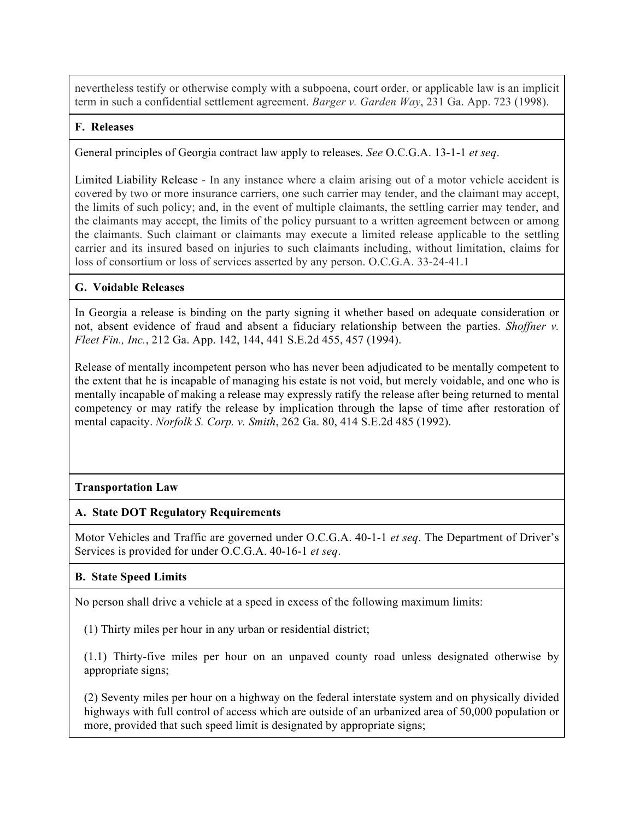nevertheless testify or otherwise comply with a subpoena, court order, or applicable law is an implicit term in such a confidential settlement agreement. *Barger v. Garden Way*, 231 Ga. App. 723 (1998).

## **F. Releases**

### General principles of Georgia contract law apply to releases. *See* O.C.G.A. 13-1-1 *et seq*.

Limited Liability Release - In any instance where a claim arising out of a motor vehicle accident is covered by two or more insurance carriers, one such carrier may tender, and the claimant may accept, the limits of such policy; and, in the event of multiple claimants, the settling carrier may tender, and the claimants may accept, the limits of the policy pursuant to a written agreement between or among the claimants. Such claimant or claimants may execute a limited release applicable to the settling carrier and its insured based on injuries to such claimants including, without limitation, claims for loss of consortium or loss of services asserted by any person. O.C.G.A. 33-24-41.1

### **G. Voidable Releases**

In Georgia a release is binding on the party signing it whether based on adequate consideration or not, absent evidence of fraud and absent a fiduciary relationship between the parties. *Shoffner v. Fleet Fin., Inc.*, 212 Ga. App. 142, 144, 441 S.E.2d 455, 457 (1994).

Release of mentally incompetent person who has never been adjudicated to be mentally competent to the extent that he is incapable of managing his estate is not void, but merely voidable, and one who is mentally incapable of making a release may expressly ratify the release after being returned to mental competency or may ratify the release by implication through the lapse of time after restoration of mental capacity. *Norfolk S. Corp. v. Smith*, 262 Ga. 80, 414 S.E.2d 485 (1992).

### **Transportation Law**

# **A. State DOT Regulatory Requirements**

Motor Vehicles and Traffic are governed under O.C.G.A. 40-1-1 *et seq*. The Department of Driver's Services is provided for under O.C.G.A. 40-16-1 *et seq*.

# **B. State Speed Limits**

No person shall drive a vehicle at a speed in excess of the following maximum limits:

(1) Thirty miles per hour in any urban or residential district;

(1.1) Thirty-five miles per hour on an unpaved county road unless designated otherwise by appropriate signs;

(2) Seventy miles per hour on a highway on the federal interstate system and on physically divided highways with full control of access which are outside of an urbanized area of 50,000 population or more, provided that such speed limit is designated by appropriate signs;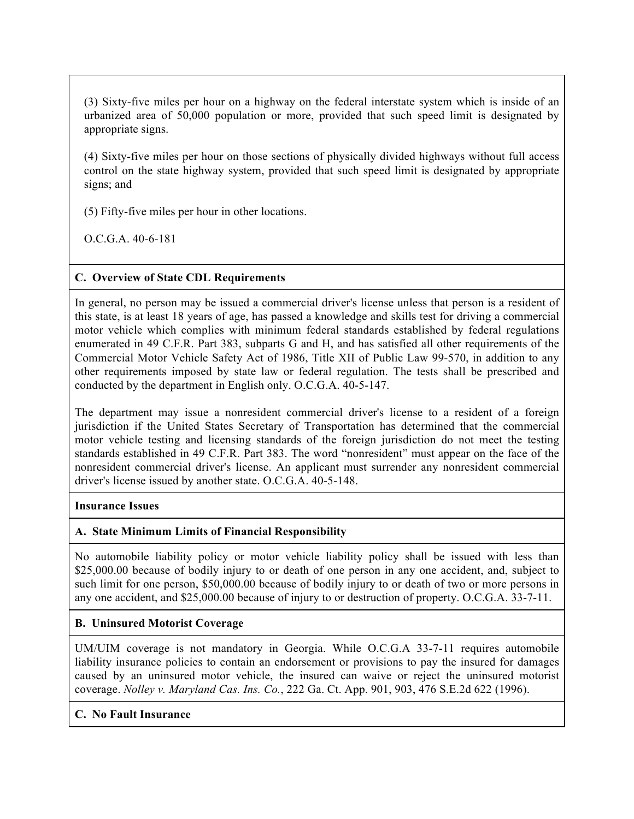(3) Sixty-five miles per hour on a highway on the federal interstate system which is inside of an urbanized area of 50,000 population or more, provided that such speed limit is designated by appropriate signs.

(4) Sixty-five miles per hour on those sections of physically divided highways without full access control on the state highway system, provided that such speed limit is designated by appropriate signs; and

(5) Fifty-five miles per hour in other locations.

O.C.G.A. 40-6-181

### **C. Overview of State CDL Requirements**

In general, no person may be issued a commercial driver's license unless that person is a resident of this state, is at least 18 years of age, has passed a knowledge and skills test for driving a commercial motor vehicle which complies with minimum federal standards established by federal regulations enumerated in 49 C.F.R. Part 383, subparts G and H, and has satisfied all other requirements of the Commercial Motor Vehicle Safety Act of 1986, Title XII of Public Law 99-570, in addition to any other requirements imposed by state law or federal regulation. The tests shall be prescribed and conducted by the department in English only. O.C.G.A. 40-5-147.

The department may issue a nonresident commercial driver's license to a resident of a foreign jurisdiction if the United States Secretary of Transportation has determined that the commercial motor vehicle testing and licensing standards of the foreign jurisdiction do not meet the testing standards established in 49 C.F.R. Part 383. The word "nonresident" must appear on the face of the nonresident commercial driver's license. An applicant must surrender any nonresident commercial driver's license issued by another state. O.C.G.A. 40-5-148.

### **Insurance Issues**

### **A. State Minimum Limits of Financial Responsibility**

No automobile liability policy or motor vehicle liability policy shall be issued with less than \$25,000.00 because of bodily injury to or death of one person in any one accident, and, subject to such limit for one person, \$50,000.00 because of bodily injury to or death of two or more persons in any one accident, and \$25,000.00 because of injury to or destruction of property. O.C.G.A. 33-7-11.

### **B. Uninsured Motorist Coverage**

UM/UIM coverage is not mandatory in Georgia. While O.C.G.A 33-7-11 requires automobile liability insurance policies to contain an endorsement or provisions to pay the insured for damages caused by an uninsured motor vehicle, the insured can waive or reject the uninsured motorist coverage. *Nolley v. Maryland Cas. Ins. Co.*, 222 Ga. Ct. App. 901, 903, 476 S.E.2d 622 (1996).

# **C. No Fault Insurance**